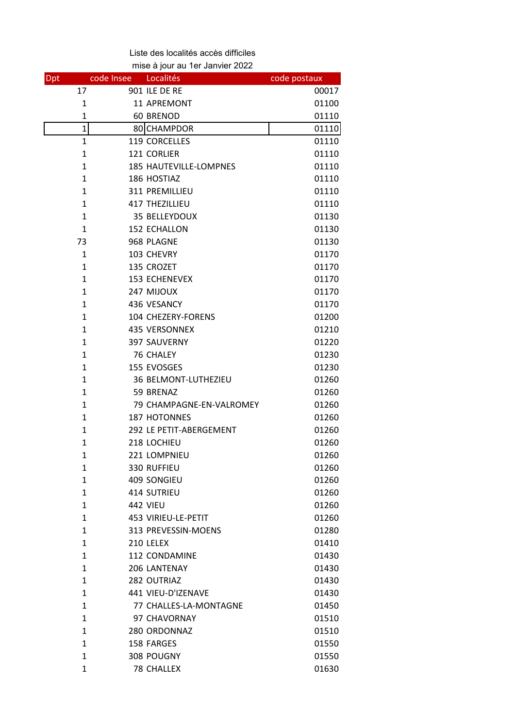Liste des localités accès difficiles mise à jour au 1er Janvier 2022

| Dpt |                | code Insee | Localités                     | code postaux |
|-----|----------------|------------|-------------------------------|--------------|
|     | 17             |            | 901 ILE DE RE                 | 00017        |
|     | $\mathbf 1$    |            | 11 APREMONT                   | 01100        |
|     | $\mathbf{1}$   |            | 60 BRENOD                     | 01110        |
|     | $\overline{1}$ |            | 80 CHAMPDOR                   | 01110        |
|     | $\mathbf{1}$   |            | 119 CORCELLES                 | 01110        |
|     | 1              |            | 121 CORLIER                   | 01110        |
|     | $\mathbf{1}$   |            | <b>185 HAUTEVILLE-LOMPNES</b> | 01110        |
|     | $\mathbf{1}$   |            | 186 HOSTIAZ                   | 01110        |
|     | $\mathbf{1}$   |            | <b>311 PREMILLIEU</b>         | 01110        |
|     | $\mathbf{1}$   |            | 417 THEZILLIEU                | 01110        |
|     | $\mathbf{1}$   |            | 35 BELLEYDOUX                 | 01130        |
|     | $\mathbf{1}$   |            | 152 ECHALLON                  | 01130        |
|     | 73             |            | 968 PLAGNE                    | 01130        |
|     | $\mathbf{1}$   |            | 103 CHEVRY                    | 01170        |
|     | $\mathbf{1}$   |            | 135 CROZET                    | 01170        |
|     | $\mathbf{1}$   |            | <b>153 ECHENEVEX</b>          | 01170        |
|     | $\mathbf{1}$   |            | 247 MIJOUX                    | 01170        |
|     | $\mathbf{1}$   |            | 436 VESANCY                   | 01170        |
|     | $\mathbf{1}$   |            | 104 CHEZERY-FORENS            | 01200        |
|     | $\mathbf{1}$   |            | 435 VERSONNEX                 | 01210        |
|     | $\mathbf{1}$   |            | 397 SAUVERNY                  | 01220        |
|     | $\mathbf{1}$   |            | 76 CHALEY                     | 01230        |
|     | $\mathbf{1}$   |            | 155 EVOSGES                   | 01230        |
|     | $\mathbf{1}$   |            | 36 BELMONT-LUTHEZIEU          | 01260        |
|     | $\mathbf{1}$   |            | 59 BRENAZ                     | 01260        |
|     | $\mathbf{1}$   |            | 79 CHAMPAGNE-EN-VALROMEY      | 01260        |
|     | 1              |            | 187 HOTONNES                  | 01260        |
|     | $\mathbf{1}$   |            | 292 LE PETIT-ABERGEMENT       | 01260        |
|     | $\mathbf{1}$   |            | 218 LOCHIEU                   | 01260        |
|     | 1              |            | 221 LOMPNIEU                  | 01260        |
|     | 1              |            | 330 RUFFIEU                   | 01260        |
|     | $\mathbf{1}$   |            | 409 SONGIEU                   | 01260        |
|     | 1              |            | 414 SUTRIEU                   | 01260        |
|     | $\mathbf{1}$   |            | <b>442 VIEU</b>               | 01260        |
|     | $\mathbf{1}$   |            | 453 VIRIEU-LE-PETIT           | 01260        |
|     | $\mathbf{1}$   |            | 313 PREVESSIN-MOENS           | 01280        |
|     | $\mathbf{1}$   |            | 210 LELEX                     | 01410        |
|     | $\mathbf{1}$   |            | <b>112 CONDAMINE</b>          | 01430        |
|     | $\mathbf{1}$   |            | 206 LANTENAY                  | 01430        |
|     | $\mathbf{1}$   |            | 282 OUTRIAZ                   | 01430        |
|     | $\mathbf{1}$   |            | 441 VIEU-D'IZENAVE            | 01430        |
|     | $\mathbf{1}$   |            | 77 CHALLES-LA-MONTAGNE        | 01450        |
|     | $\mathbf{1}$   |            | 97 CHAVORNAY                  | 01510        |
|     | $\mathbf{1}$   |            | 280 ORDONNAZ                  | 01510        |
|     | $\mathbf{1}$   |            | 158 FARGES                    | 01550        |
|     | $\mathbf{1}$   |            | 308 POUGNY                    | 01550        |
|     | 1              |            | <b>78 CHALLEX</b>             | 01630        |
|     |                |            |                               |              |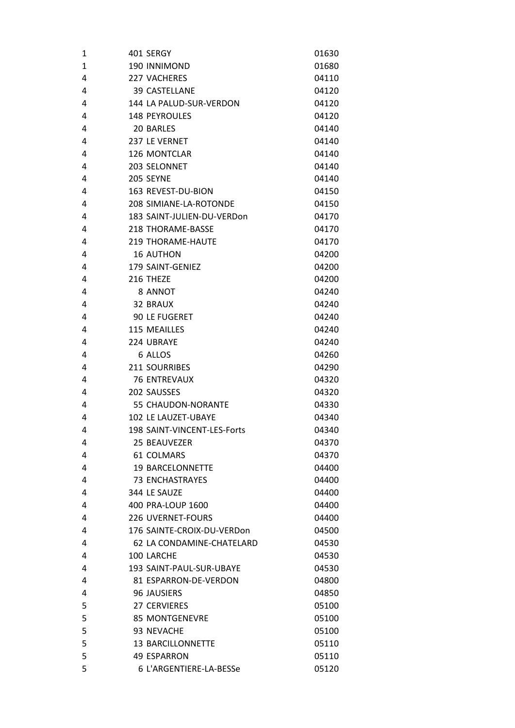| 1            | 401 SERGY                   | 01630 |
|--------------|-----------------------------|-------|
| $\mathbf{1}$ | 190 INNIMOND                | 01680 |
| 4            | <b>227 VACHERES</b>         | 04110 |
| 4            | <b>39 CASTELLANE</b>        | 04120 |
| 4            | 144 LA PALUD-SUR-VERDON     | 04120 |
| 4            | <b>148 PEYROULES</b>        | 04120 |
| 4            | 20 BARLES                   | 04140 |
| 4            | 237 LE VERNET               | 04140 |
| 4            | 126 MONTCLAR                | 04140 |
| 4            | 203 SELONNET                | 04140 |
| 4            | 205 SEYNE                   | 04140 |
| 4            | 163 REVEST-DU-BION          | 04150 |
| 4            | 208 SIMIANE-LA-ROTONDE      | 04150 |
| 4            | 183 SAINT-JULIEN-DU-VERDon  | 04170 |
| 4            | 218 THORAME-BASSE           | 04170 |
| 4            | <b>219 THORAMF-HAUTF</b>    | 04170 |
| 4            | <b>16 AUTHON</b>            | 04200 |
| 4            | 179 SAINT-GENIEZ            | 04200 |
| 4            | 216 THEZE                   | 04200 |
| 4            | 8 ANNOT                     | 04240 |
| 4            | 32 BRAUX                    | 04240 |
| 4            | <b>90 LE FUGERET</b>        | 04240 |
| 4            | 115 MEAILLES                | 04240 |
| 4            | 224 UBRAYE                  | 04240 |
| 4            | 6 ALLOS                     | 04260 |
| 4            | 211 SOURRIBES               | 04290 |
| 4            | <b>76 ENTREVAUX</b>         | 04320 |
| 4            | 202 SAUSSES                 | 04320 |
| 4            | 55 CHAUDON-NORANTE          | 04330 |
| 4            | 102 LE LAUZET-UBAYE         | 04340 |
| 4            | 198 SAINT-VINCENT-LES-Forts | 04340 |
| 4            | 25 BEAUVEZER                | 04370 |
| 4            | <b>61 COLMARS</b>           | 04370 |
| 4            | <b>19 BARCELONNETTE</b>     | 04400 |
| 4            | <b>73 ENCHASTRAYES</b>      | 04400 |
| 4            | 344 LE SAUZE                | 04400 |
| 4            | 400 PRA-LOUP 1600           | 04400 |
| 4            | <b>226 UVERNET-FOURS</b>    | 04400 |
| 4            | 176 SAINTE-CROIX-DU-VERDon  | 04500 |
| 4            | 62 LA CONDAMINE-CHATELARD   | 04530 |
| 4            | 100 LARCHE                  | 04530 |
| 4            | 193 SAINT-PAUL-SUR-UBAYE    | 04530 |
| 4            | 81 ESPARRON-DE-VERDON       | 04800 |
| 4            | 96 JAUSIERS                 | 04850 |
| 5            | <b>27 CERVIERES</b>         | 05100 |
| 5            | <b>85 MONTGENEVRE</b>       | 05100 |
| 5            | 93 NEVACHE                  | 05100 |
| 5            | <b>13 BARCILLONNETTE</b>    | 05110 |
| 5            | <b>49 ESPARRON</b>          | 05110 |
| 5            | 6 L'ARGENTIERE-LA-BESSe     | 05120 |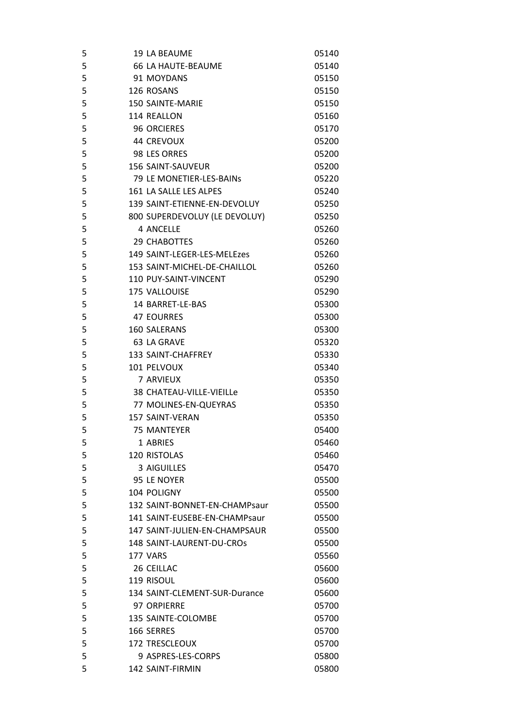| 5 | 19 LA BEAUME                                | 05140          |
|---|---------------------------------------------|----------------|
| 5 | <b>66 LA HAUTE-BEAUME</b>                   | 05140          |
| 5 | 91 MOYDANS                                  | 05150          |
| 5 | 126 ROSANS                                  | 05150          |
| 5 | <b>150 SAINTE-MARIE</b>                     | 05150          |
| 5 | 114 REALLON                                 | 05160          |
| 5 | <b>96 ORCIERES</b>                          | 05170          |
| 5 | <b>44 CREVOUX</b>                           | 05200          |
| 5 | 98 LES ORRES                                | 05200          |
| 5 | <b>156 SAINT-SAUVEUR</b>                    | 05200          |
| 5 | 79 LE MONETIER-LES-BAINS                    | 05220          |
| 5 | 161 LA SALLE LES ALPES                      | 05240          |
| 5 | 139 SAINT-ETIENNE-EN-DEVOLUY                | 05250          |
| 5 | 800 SUPERDEVOLUY (LE DEVOLUY)               | 05250          |
| 5 | <b>4 ANCELLE</b>                            | 05260          |
| 5 | 29 CHABOTTES                                | 05260          |
| 5 | 149 SAINT-LEGER-LES-MELEzes                 | 05260          |
| 5 | 153 SAINT-MICHEL-DE-CHAILLOL                | 05260          |
| 5 | 110 PUY-SAINT-VINCENT                       | 05290          |
| 5 | 175 VALLOUISE                               | 05290          |
| 5 | 14 BARRET-LE-BAS                            | 05300          |
| 5 | <b>47 EOURRES</b>                           | 05300          |
| 5 | 160 SALERANS                                | 05300          |
| 5 | 63 LA GRAVE                                 | 05320          |
| 5 | 133 SAINT-CHAFFREY                          | 05330          |
| 5 | 101 PELVOUX                                 | 05340          |
| 5 | 7 ARVIEUX                                   | 05350          |
| 5 | 38 CHATEAU-VILLE-VIEILLe                    | 05350          |
| 5 | 77 MOLINES-EN-QUEYRAS                       | 05350          |
| 5 | <b>157 SAINT-VERAN</b>                      | 05350          |
| 5 | <b>75 MANTEYER</b>                          | 05400          |
| 5 | 1 ABRIES                                    | 05460          |
| 5 | 120 RISTOLAS                                | 05460          |
| 5 | 3 AIGUILLES                                 | 05470          |
| 5 | 95 LE NOYER                                 | 05500          |
| 5 | 104 POLIGNY                                 | 05500          |
| 5 | 132 SAINT-BONNET-EN-CHAMPsaur               | 05500          |
| 5 | 141 SAINT-EUSEBE-EN-CHAMPsaur               | 05500          |
| 5 | 147 SAINT-JULIEN-EN-CHAMPSAUR               | 05500          |
| 5 | 148 SAINT-LAURENT-DU-CROS                   | 05500          |
| 5 | 177 VARS                                    | 05560          |
| 5 | 26 CEILLAC                                  | 05600          |
| 5 |                                             |                |
| 5 | 119 RISOUL<br>134 SAINT-CLEMENT-SUR-Durance | 05600<br>05600 |
|   |                                             |                |
| 5 | 97 ORPIERRE                                 | 05700          |
| 5 | 135 SAINTE-COLOMBE                          | 05700          |
| 5 | 166 SERRES                                  | 05700          |
| 5 | <b>172 TRESCLEOUX</b>                       | 05700          |
| 5 | 9 ASPRES-LES-CORPS                          | 05800          |
| 5 | 142 SAINT-FIRMIN                            | 05800          |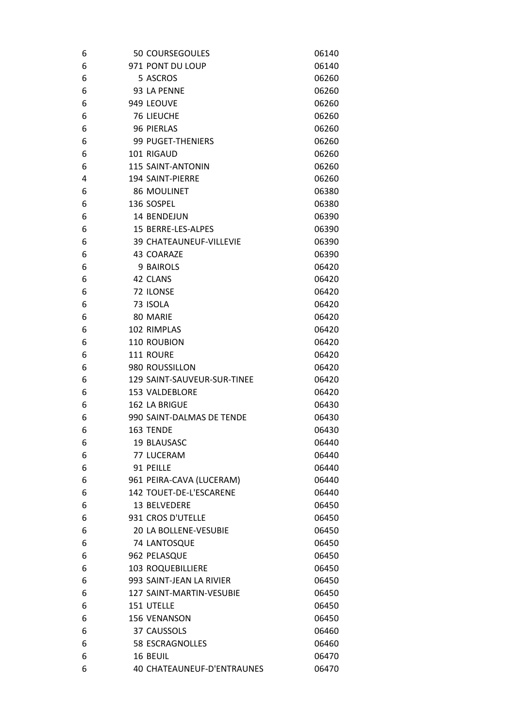| 6 | 50 COURSEGOULES                   | 06140 |
|---|-----------------------------------|-------|
| 6 | 971 PONT DU LOUP                  | 06140 |
| 6 | 5 ASCROS                          | 06260 |
| 6 | 93 LA PENNE                       | 06260 |
| 6 | 949 LEOUVE                        | 06260 |
| 6 | <b>76 LIEUCHE</b>                 | 06260 |
| 6 | 96 PIERLAS                        | 06260 |
| 6 | 99 PUGET-THENIERS                 | 06260 |
| 6 | 101 RIGAUD                        | 06260 |
| 6 | <b>115 SAINT-ANTONIN</b>          | 06260 |
| 4 | <b>194 SAINT-PIERRE</b>           | 06260 |
| 6 | <b>86 MOULINET</b>                | 06380 |
| 6 | 136 SOSPEL                        | 06380 |
| 6 | 14 BENDEJUN                       | 06390 |
| 6 | 15 BERRE-LES-ALPES                | 06390 |
| 6 | <b>39 CHATEAUNEUF-VILLEVIE</b>    | 06390 |
| 6 | 43 COARAZE                        | 06390 |
| 6 | 9 BAIROLS                         | 06420 |
| 6 | 42 CLANS                          | 06420 |
| 6 | 72 ILONSE                         | 06420 |
| 6 | 73 ISOLA                          | 06420 |
| 6 | 80 MARIE                          | 06420 |
| 6 | 102 RIMPLAS                       | 06420 |
| 6 | 110 ROUBION                       | 06420 |
| 6 | 111 ROURE                         | 06420 |
| 6 | 980 ROUSSILLON                    | 06420 |
| 6 | 129 SAINT-SAUVEUR-SUR-TINEE       | 06420 |
| 6 | <b>153 VALDEBLORE</b>             | 06420 |
| 6 | 162 LA BRIGUE                     | 06430 |
| 6 | 990 SAINT-DALMAS DE TENDE         | 06430 |
| 6 | 163 TENDE                         | 06430 |
| 6 | 19 BLAUSASC                       | 06440 |
| 6 | 77 LUCERAM                        | 06440 |
| 6 | 91 PEILLE                         | 06440 |
| 6 | 961 PEIRA-CAVA (LUCERAM)          | 06440 |
| 6 | 142 TOUET-DE-L'ESCARENE           | 06440 |
| 6 | 13 BELVEDERE                      | 06450 |
| 6 | 931 CROS D'UTELLE                 | 06450 |
| 6 | 20 LA BOLLENE-VESUBIE             | 06450 |
| 6 | 74 LANTOSQUE                      | 06450 |
| 6 | 962 PELASQUE                      | 06450 |
| 6 | <b>103 ROQUEBILLIERE</b>          | 06450 |
| 6 | 993 SAINT-JEAN LA RIVIER          | 06450 |
| 6 | 127 SAINT-MARTIN-VESUBIE          | 06450 |
| 6 | 151 UTELLE                        | 06450 |
| 6 | 156 VENANSON                      | 06450 |
| 6 | 37 CAUSSOLS                       | 06460 |
| 6 | <b>58 ESCRAGNOLLES</b>            | 06460 |
| 6 | 16 BEUIL                          | 06470 |
| 6 | <b>40 CHATEAUNEUF-D'ENTRAUNES</b> | 06470 |
|   |                                   |       |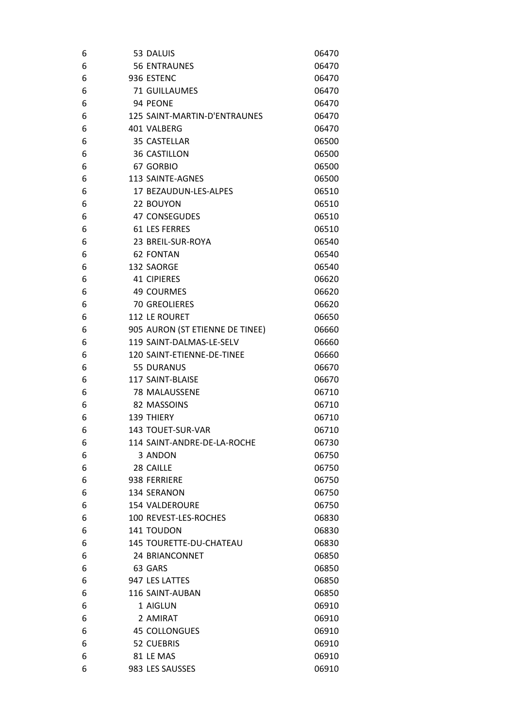| 6 | 53 DALUIS                       | 06470 |
|---|---------------------------------|-------|
| 6 | <b>56 ENTRAUNES</b>             | 06470 |
| 6 | 936 ESTENC                      | 06470 |
| 6 | 71 GUILLAUMES                   | 06470 |
| 6 | 94 PEONE                        | 06470 |
| 6 | 125 SAINT-MARTIN-D'ENTRAUNES    | 06470 |
| 6 | 401 VALBERG                     | 06470 |
| 6 | 35 CASTELLAR                    | 06500 |
| 6 | <b>36 CASTILLON</b>             | 06500 |
| 6 | 67 GORBIO                       | 06500 |
| 6 | 113 SAINTE-AGNES                | 06500 |
| 6 | 17 BEZAUDUN-LES-ALPES           | 06510 |
| 6 | 22 BOUYON                       | 06510 |
| 6 | 47 CONSEGUDES                   | 06510 |
| 6 | <b>61 LES FERRES</b>            | 06510 |
| 6 | 23 BREIL-SUR-ROYA               | 06540 |
| 6 | <b>62 FONTAN</b>                | 06540 |
| 6 | 132 SAORGE                      | 06540 |
| 6 | <b>41 CIPIERES</b>              | 06620 |
| 6 | <b>49 COURMES</b>               | 06620 |
| 6 | <b>70 GREOLIERES</b>            | 06620 |
| 6 | 112 LE ROURET                   | 06650 |
| 6 | 905 AURON (ST ETIENNE DE TINEE) | 06660 |
| 6 | 119 SAINT-DALMAS-LE-SELV        | 06660 |
| 6 | 120 SAINT-ETIENNE-DE-TINEE      | 06660 |
| 6 | <b>55 DURANUS</b>               | 06670 |
| 6 | 117 SAINT-BLAISE                | 06670 |
| 6 | 78 MALAUSSENE                   | 06710 |
| 6 | 82 MASSOINS                     | 06710 |
| 6 | 139 THIERY                      | 06710 |
| 6 | 143 TOUET-SUR-VAR               | 06710 |
| 6 | 114 SAINT-ANDRE-DE-LA-ROCHE     | 06730 |
| 6 | 3 ANDON                         | 06750 |
| 6 | 28 CAILLE                       | 06750 |
| 6 | 938 FERRIERE                    | 06750 |
| 6 | 134 SERANON                     | 06750 |
| 6 | <b>154 VALDEROURE</b>           | 06750 |
| 6 | 100 REVEST-LES-ROCHES           | 06830 |
| 6 | 141 TOUDON                      | 06830 |
| 6 | 145 TOURETTE-DU-CHATEAU         | 06830 |
| 6 | 24 BRIANCONNET                  | 06850 |
| 6 | 63 GARS                         | 06850 |
| 6 | 947 LES LATTES                  | 06850 |
| 6 | 116 SAINT-AUBAN                 | 06850 |
| 6 | 1 AIGLUN                        | 06910 |
| 6 | 2 AMIRAT                        | 06910 |
| 6 | <b>45 COLLONGUES</b>            | 06910 |
| 6 | 52 CUEBRIS                      | 06910 |
| 6 | 81 LE MAS                       | 06910 |
| 6 | 983 LES SAUSSES                 | 06910 |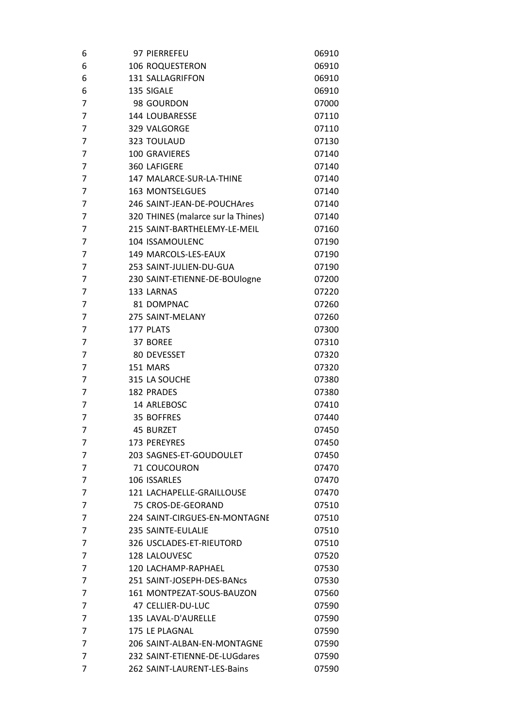| 6              | 97 PIERREFEU                       | 06910 |
|----------------|------------------------------------|-------|
| 6              | <b>106 ROQUESTERON</b>             | 06910 |
| 6              | 131 SALLAGRIFFON                   | 06910 |
| 6              | 135 SIGALE                         | 06910 |
| 7              | 98 GOURDON                         | 07000 |
| 7              | 144 LOUBARESSE                     | 07110 |
| 7              | 329 VALGORGE                       | 07110 |
| 7              | 323 TOULAUD                        | 07130 |
| 7              | <b>100 GRAVIERES</b>               | 07140 |
| 7              | 360 LAFIGERE                       | 07140 |
| $\overline{7}$ | 147 MALARCE-SUR-LA-THINE           | 07140 |
| $\overline{7}$ | <b>163 MONTSELGUES</b>             | 07140 |
| $\overline{7}$ | 246 SAINT-JEAN-DE-POUCHAres        | 07140 |
| 7              | 320 THINES (malarce sur la Thines) | 07140 |
| 7              | 215 SAINT-BARTHELEMY-LE-MEIL       | 07160 |
| 7              | 104 ISSAMOULENC                    | 07190 |
| $\overline{7}$ | 149 MARCOLS-LES-EAUX               | 07190 |
| 7              | 253 SAINT-JULIEN-DU-GUA            | 07190 |
| $\overline{7}$ | 230 SAINT-ETIENNE-DE-BOUlogne      | 07200 |
| 7              | 133 LARNAS                         | 07220 |
| 7              | 81 DOMPNAC                         | 07260 |
| 7              | 275 SAINT-MELANY                   | 07260 |
| 7              | 177 PLATS                          | 07300 |
| 7              | 37 BOREE                           | 07310 |
| 7              | 80 DEVESSET                        | 07320 |
| 7              | 151 MARS                           | 07320 |
| 7              | 315 LA SOUCHE                      | 07380 |
| 7              | <b>182 PRADES</b>                  | 07380 |
| 7              | 14 ARLEBOSC                        | 07410 |
| $\overline{7}$ | 35 BOFFRES                         | 07440 |
| 7              | <b>45 BURZET</b>                   | 07450 |
| 7              | <b>173 PEREYRES</b>                | 07450 |
| 7              | 203 SAGNES-ET-GOUDOULET            | 07450 |
| 7              | 71 COUCOURON                       | 07470 |
| 7              | 106 ISSARLES                       | 07470 |
| 7              | 121 LACHAPELLE-GRAILLOUSE          | 07470 |
| 7              | 75 CROS-DE-GEORAND                 | 07510 |
| 7              | 224 SAINT-CIRGUES-EN-MONTAGNE      | 07510 |
| 7              | 235 SAINTE-EULALIE                 | 07510 |
| 7              | 326 USCLADES-ET-RIEUTORD           | 07510 |
| 7              | 128 LALOUVESC                      | 07520 |
| 7              | 120 LACHAMP-RAPHAEL                | 07530 |
| 7              | 251 SAINT-JOSEPH-DES-BANCS         | 07530 |
| 7              | 161 MONTPEZAT-SOUS-BAUZON          | 07560 |
| 7              | 47 CELLIER-DU-LUC                  | 07590 |
| 7              | 135 LAVAL-D'AURELLE                | 07590 |
| 7              | 175 LE PLAGNAL                     | 07590 |
| 7              | 206 SAINT-ALBAN-EN-MONTAGNE        | 07590 |
| $\overline{7}$ | 232 SAINT-ETIENNE-DE-LUGdares      | 07590 |
| 7              | 262 SAINT-LAURENT-LES-Bains        | 07590 |
|                |                                    |       |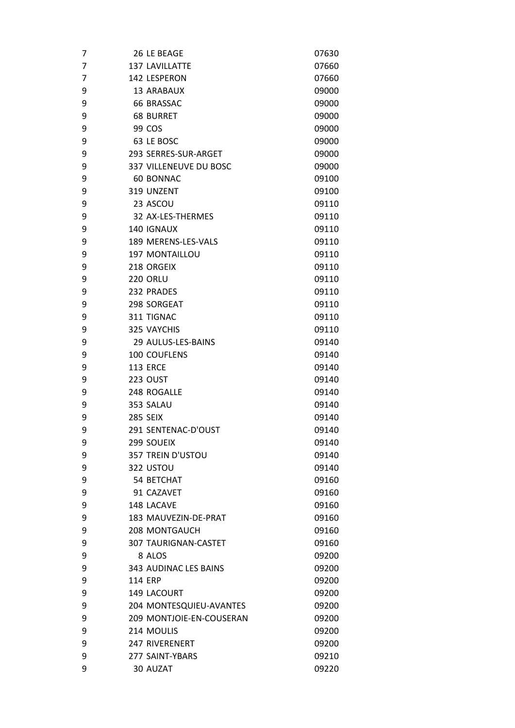| 7              |                | 26 LE BEAGE                 | 07630 |
|----------------|----------------|-----------------------------|-------|
| $\overline{7}$ |                | <b>137 LAVILLATTE</b>       | 07660 |
| 7              |                | 142 LESPERON                | 07660 |
| 9              |                | 13 ARABAUX                  | 09000 |
| 9              |                | <b>66 BRASSAC</b>           | 09000 |
| 9              |                | <b>68 BURRET</b>            | 09000 |
| 9              |                | 99 COS                      | 09000 |
| 9              |                | 63 LE BOSC                  | 09000 |
| 9              |                | 293 SERRES-SUR-ARGET        | 09000 |
| 9              |                | 337 VILLENEUVE DU BOSC      | 09000 |
| 9              |                | 60 BONNAC                   | 09100 |
| 9              |                | 319 UNZENT                  | 09100 |
| 9              |                | 23 ASCOU                    | 09110 |
| 9              |                | 32 AX-LES-THERMES           | 09110 |
| 9              |                | 140 IGNAUX                  | 09110 |
| 9              |                | 189 MERENS-LES-VALS         | 09110 |
| 9              |                | <b>197 MONTAILLOU</b>       | 09110 |
| 9              |                | 218 ORGEIX                  | 09110 |
| 9              |                | <b>220 ORLU</b>             | 09110 |
| 9              |                | 232 PRADES                  | 09110 |
| 9              |                | 298 SORGEAT                 | 09110 |
| 9              |                | 311 TIGNAC                  | 09110 |
| 9              |                | 325 VAYCHIS                 | 09110 |
| 9              |                | 29 AULUS-LES-BAINS          | 09140 |
| 9              |                | 100 COUFLENS                | 09140 |
| 9              |                | <b>113 ERCE</b>             | 09140 |
| 9              |                | <b>223 OUST</b>             | 09140 |
| 9              |                | 248 ROGALLE                 | 09140 |
| 9              |                | 353 SALAU                   | 09140 |
| 9              |                | <b>285 SEIX</b>             | 09140 |
| 9              |                | 291 SENTENAC-D'OUST         | 09140 |
| 9              |                | 299 SOUEIX                  | 09140 |
| 9              |                | 357 TREIN D'USTOU           | 09140 |
| 9              |                | 322 USTOU                   | 09140 |
| 9              |                | 54 BETCHAT                  | 09160 |
| 9              |                | 91 CAZAVET                  | 09160 |
| 9              |                | 148 LACAVE                  | 09160 |
| 9              |                | 183 MAUVEZIN-DE-PRAT        | 09160 |
| 9              |                | <b>208 MONTGAUCH</b>        | 09160 |
| 9              |                | <b>307 TAURIGNAN-CASTET</b> | 09160 |
| 9              |                | 8 ALOS                      | 09200 |
| 9              |                | 343 AUDINAC LES BAINS       | 09200 |
| 9              | <b>114 ERP</b> |                             | 09200 |
| 9              |                | <b>149 LACOURT</b>          | 09200 |
| 9              |                | 204 MONTESQUIEU-AVANTES     | 09200 |
| 9              |                | 209 MONTJOIE-EN-COUSERAN    | 09200 |
| 9              |                | 214 MOULIS                  | 09200 |
| 9              |                | <b>247 RIVERENERT</b>       | 09200 |
| 9              |                | 277 SAINT-YBARS             | 09210 |
| 9              |                | 30 AUZAT                    | 09220 |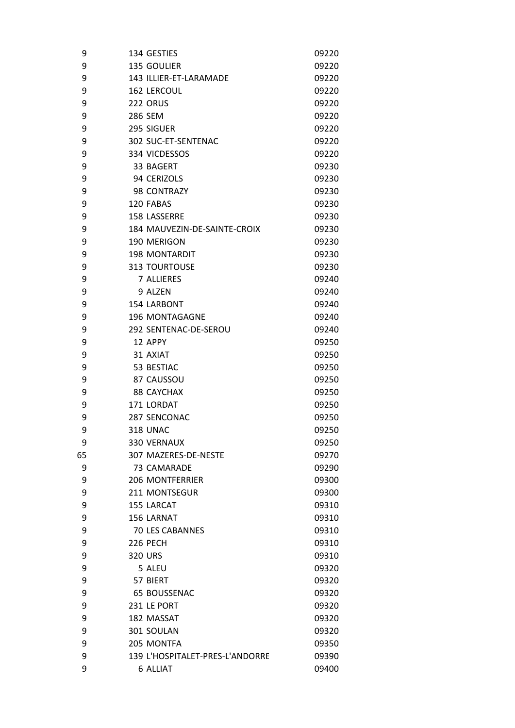| 9  | 134 GESTIES                     | 09220 |
|----|---------------------------------|-------|
| 9  | <b>135 GOULIER</b>              | 09220 |
| 9  | 143 ILLIER-ET-LARAMADE          | 09220 |
| 9  | <b>162 LERCOUL</b>              | 09220 |
| 9  | 222 ORUS                        | 09220 |
| 9  | 286 SEM                         | 09220 |
| 9  | 295 SIGUER                      | 09220 |
| 9  | 302 SUC-ET-SENTENAC             | 09220 |
| 9  | 334 VICDESSOS                   | 09220 |
| 9  | 33 BAGERT                       | 09230 |
| 9  | 94 CERIZOLS                     | 09230 |
| 9  | 98 CONTRAZY                     | 09230 |
| 9  | 120 FABAS                       | 09230 |
| 9  | 158 LASSERRE                    | 09230 |
| 9  | 184 MAUVEZIN-DE-SAINTE-CROIX    | 09230 |
| 9  | 190 MERIGON                     | 09230 |
| 9  | <b>198 MONTARDIT</b>            | 09230 |
| 9  | <b>313 TOURTOUSE</b>            | 09230 |
| 9  | 7 ALLIERES                      | 09240 |
| 9  | 9 ALZEN                         | 09240 |
| 9  | <b>154 LARBONT</b>              | 09240 |
| 9  | 196 MONTAGAGNE                  | 09240 |
| 9  | 292 SENTENAC-DE-SEROU           | 09240 |
| 9  | 12 APPY                         | 09250 |
| 9  | 31 AXIAT                        | 09250 |
| 9  | 53 BESTIAC                      | 09250 |
| 9  | 87 CAUSSOU                      | 09250 |
| 9  | <b>88 CAYCHAX</b>               | 09250 |
| 9  | 171 LORDAT                      | 09250 |
| 9  | <b>287 SENCONAC</b>             | 09250 |
| 9  | <b>318 UNAC</b>                 | 09250 |
| 9  | 330 VERNAUX                     | 09250 |
| 65 | 307 MAZERES-DE-NESTE            | 09270 |
| 9  | 73 CAMARADE                     | 09290 |
| 9  | <b>206 MONTFERRIER</b>          | 09300 |
| 9  | 211 MONTSEGUR                   | 09300 |
| 9  | 155 LARCAT                      | 09310 |
| 9  | 156 LARNAT                      | 09310 |
| 9  | <b>70 LES CABANNES</b>          | 09310 |
| 9  | <b>226 PECH</b>                 | 09310 |
| 9  | 320 URS                         | 09310 |
| 9  | 5 ALEU                          | 09320 |
| 9  | 57 BIERT                        | 09320 |
| 9  | <b>65 BOUSSENAC</b>             | 09320 |
| 9  | 231 LE PORT                     | 09320 |
| 9  | 182 MASSAT                      | 09320 |
| 9  | 301 SOULAN                      | 09320 |
| 9  | 205 MONTFA                      | 09350 |
| 9  | 139 L'HOSPITALET-PRES-L'ANDORRE | 09390 |
| 9  | <b>6 ALLIAT</b>                 | 09400 |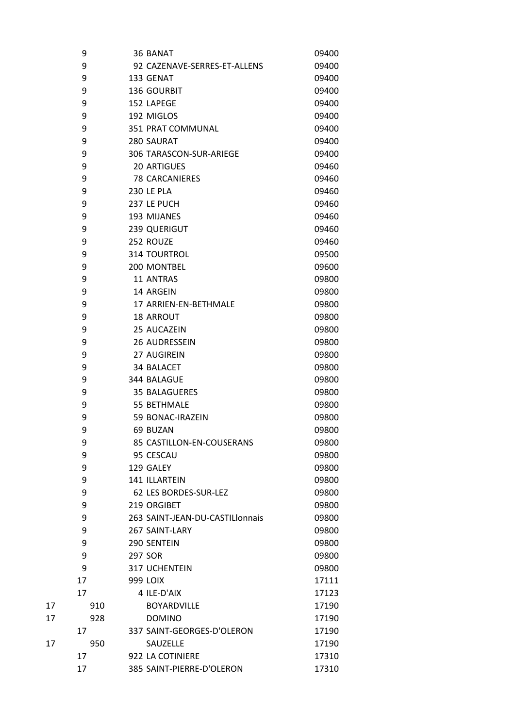|    | 9   | 36 BANAT                        | 09400 |
|----|-----|---------------------------------|-------|
|    | 9   | 92 CAZENAVE-SERRES-ET-ALLENS    | 09400 |
|    | 9   | 133 GENAT                       | 09400 |
|    | 9   | 136 GOURBIT                     | 09400 |
|    | 9   | 152 LAPEGE                      | 09400 |
|    | 9   | 192 MIGLOS                      | 09400 |
|    | 9   | 351 PRAT COMMUNAL               | 09400 |
|    | 9   | 280 SAURAT                      | 09400 |
|    | 9   | 306 TARASCON-SUR-ARIEGE         | 09400 |
|    | 9   | <b>20 ARTIGUES</b>              | 09460 |
|    | 9   | <b>78 CARCANIERES</b>           | 09460 |
|    | 9   | <b>230 LE PLA</b>               | 09460 |
|    | 9   | 237 LE PUCH                     | 09460 |
|    | 9   | 193 MIJANES                     | 09460 |
|    | 9   | 239 QUERIGUT                    | 09460 |
|    | 9   | 252 ROUZE                       | 09460 |
|    | 9   | 314 TOURTROL                    | 09500 |
|    | 9   | 200 MONTBEL                     | 09600 |
|    | 9   | 11 ANTRAS                       | 09800 |
|    | 9   | 14 ARGEIN                       | 09800 |
|    | 9   | 17 ARRIEN-EN-BETHMALE           | 09800 |
|    | 9   | <b>18 ARROUT</b>                | 09800 |
|    | 9   | 25 AUCAZEIN                     | 09800 |
|    | 9   | 26 AUDRESSEIN                   | 09800 |
|    | 9   | 27 AUGIREIN                     | 09800 |
|    | 9   | 34 BALACET                      | 09800 |
|    | 9   | 344 BALAGUE                     | 09800 |
|    | 9   | <b>35 BALAGUERES</b>            | 09800 |
|    | 9   | 55 BETHMALE                     | 09800 |
|    | 9   | 59 BONAC-IRAZEIN                | 09800 |
|    | 9   | 69 BUZAN                        | 09800 |
|    | 9   | 85 CASTILLON-EN-COUSERANS       | 09800 |
|    | 9   | 95 CESCAU                       | 09800 |
|    | 9   | 129 GALEY                       | 09800 |
|    | 9   | 141 ILLARTEIN                   | 09800 |
|    | 9   | 62 LES BORDES-SUR-LEZ           | 09800 |
|    |     |                                 |       |
|    | 9   | 219 ORGIBET                     | 09800 |
|    | 9   | 263 SAINT-JEAN-DU-CASTILIonnais | 09800 |
|    | 9   | 267 SAINT-LARY                  | 09800 |
|    | 9   | 290 SENTEIN                     | 09800 |
|    | 9   | 297 SOR                         | 09800 |
|    | 9   | 317 UCHENTEIN                   | 09800 |
|    | 17  | <b>999 LOIX</b>                 | 17111 |
|    | 17  | 4 ILE-D'AIX                     | 17123 |
| 17 | 910 | <b>BOYARDVILLE</b>              | 17190 |
| 17 | 928 | <b>DOMINO</b>                   | 17190 |
|    | 17  | 337 SAINT-GEORGES-D'OLERON      | 17190 |
| 17 | 950 | SAUZELLE                        | 17190 |
|    | 17  | 922 LA COTINIERE                | 17310 |
|    | 17  | 385 SAINT-PIERRE-D'OLERON       | 17310 |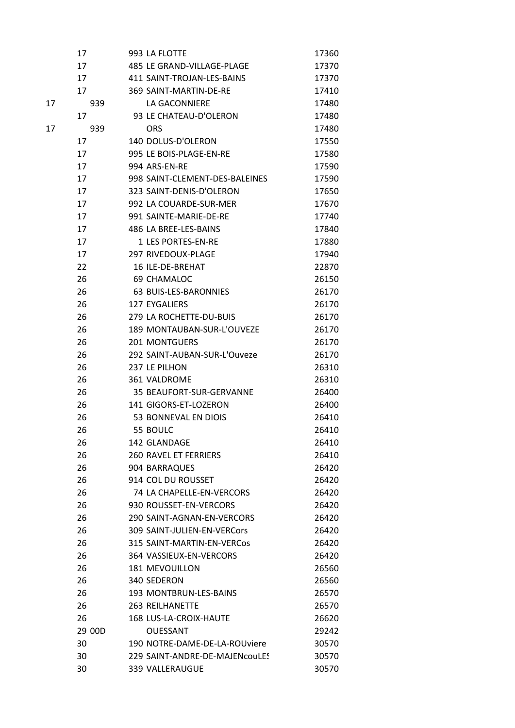|    | 17     | 993 LA FLOTTE                  | 17360 |
|----|--------|--------------------------------|-------|
|    | 17     | 485 LE GRAND-VILLAGE-PLAGE     | 17370 |
|    | 17     | 411 SAINT-TROJAN-LES-BAINS     | 17370 |
|    | 17     | 369 SAINT-MARTIN-DE-RE         | 17410 |
| 17 | 939    | LA GACONNIERE                  | 17480 |
|    | 17     | 93 LE CHATEAU-D'OLERON         | 17480 |
| 17 | 939    | <b>ORS</b>                     | 17480 |
|    | 17     | 140 DOLUS-D'OLERON             | 17550 |
|    | 17     | 995 LE BOIS-PLAGE-EN-RE        | 17580 |
|    | 17     | 994 ARS-EN-RE                  | 17590 |
|    | 17     | 998 SAINT-CLEMENT-DES-BALEINES | 17590 |
|    | 17     | 323 SAINT-DENIS-D'OLERON       | 17650 |
|    | 17     | 992 LA COUARDE-SUR-MER         | 17670 |
|    | 17     | 991 SAINTE-MARIE-DE-RE         | 17740 |
|    | 17     | 486 LA BREE-LES-BAINS          | 17840 |
|    | 17     | <b>1 LFS PORTFS-FN-RF</b>      | 17880 |
|    | 17     | 297 RIVEDOUX-PLAGE             | 17940 |
|    | 22     | 16 ILE-DE-BREHAT               | 22870 |
|    | 26     | 69 CHAMALOC                    | 26150 |
|    | 26     | <b>63 BUIS-LES-BARONNIES</b>   | 26170 |
|    | 26     | <b>127 EYGALIERS</b>           | 26170 |
|    | 26     | 279 LA ROCHETTE-DU-BUIS        | 26170 |
|    | 26     | 189 MONTAUBAN-SUR-L'OUVEZE     | 26170 |
|    | 26     | <b>201 MONTGUERS</b>           | 26170 |
|    | 26     | 292 SAINT-AUBAN-SUR-L'Ouveze   | 26170 |
|    | 26     | 237 LE PILHON                  | 26310 |
|    | 26     | 361 VALDROME                   | 26310 |
|    | 26     | 35 BEAUFORT-SUR-GERVANNE       | 26400 |
|    | 26     | 141 GIGORS-ET-LOZERON          | 26400 |
|    | 26     | 53 BONNEVAL EN DIOIS           | 26410 |
|    | 26     | 55 BOULC                       | 26410 |
|    | 26     | 142 GLANDAGE                   | 26410 |
|    | 26     | <b>260 RAVEL ET FERRIERS</b>   | 26410 |
|    | 26     | 904 BARRAQUES                  | 26420 |
|    | 26     | 914 COL DU ROUSSET             | 26420 |
|    | 26     | 74 LA CHAPELLE-EN-VERCORS      | 26420 |
|    | 26     | 930 ROUSSET-EN-VERCORS         | 26420 |
|    | 26     | 290 SAINT-AGNAN-EN-VERCORS     | 26420 |
|    | 26     | 309 SAINT-JULIEN-EN-VERCors    | 26420 |
|    | 26     | 315 SAINT-MARTIN-EN-VERCos     | 26420 |
|    | 26     | 364 VASSIEUX-EN-VERCORS        | 26420 |
|    | 26     | <b>181 MEVOUILLON</b>          | 26560 |
|    | 26     | 340 SEDERON                    | 26560 |
|    | 26     | 193 MONTBRUN-LES-BAINS         | 26570 |
|    | 26     | <b>263 REILHANETTE</b>         | 26570 |
|    | 26     | 168 LUS-LA-CROIX-HAUTE         | 26620 |
|    | 29 00D | OUESSANT                       | 29242 |
|    | 30     | 190 NOTRE-DAME-DE-LA-ROUviere  | 30570 |
|    | 30     | 229 SAINT-ANDRE-DE-MAJENcouLES | 30570 |
|    | 30     | 339 VALLERAUGUE                | 30570 |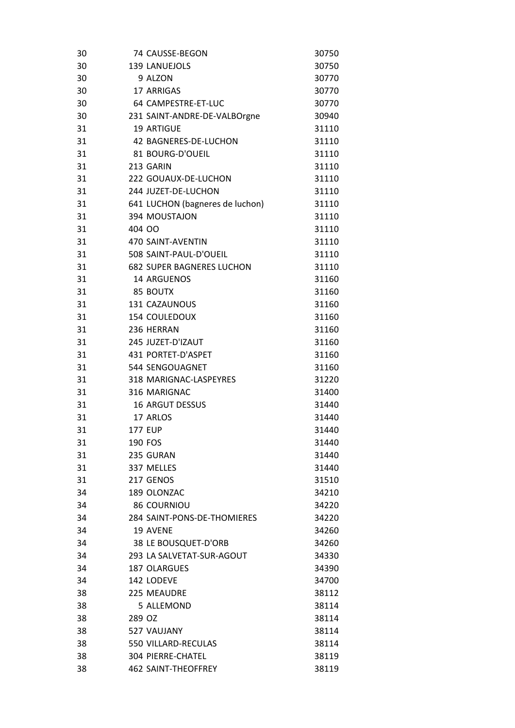| 30 |                | 74 CAUSSE-BEGON                  | 30750 |
|----|----------------|----------------------------------|-------|
| 30 |                | 139 LANUEJOLS                    | 30750 |
| 30 |                | 9 ALZON                          | 30770 |
| 30 |                | 17 ARRIGAS                       | 30770 |
| 30 |                | 64 CAMPESTRE-ET-LUC              | 30770 |
| 30 |                | 231 SAINT-ANDRE-DE-VALBOrgne     | 30940 |
| 31 |                | <b>19 ARTIGUE</b>                | 31110 |
| 31 |                | 42 BAGNERES-DE-LUCHON            | 31110 |
| 31 |                | 81 BOURG-D'OUEIL                 | 31110 |
| 31 |                | 213 GARIN                        | 31110 |
| 31 |                | 222 GOUAUX-DE-LUCHON             | 31110 |
| 31 |                | 244 JUZET-DE-LUCHON              | 31110 |
| 31 |                | 641 LUCHON (bagneres de luchon)  | 31110 |
| 31 |                | 394 MOUSTAJON                    | 31110 |
| 31 | 404 00         |                                  | 31110 |
| 31 |                | 470 SAINT-AVENTIN                | 31110 |
| 31 |                | 508 SAINT-PAUL-D'OUEIL           | 31110 |
| 31 |                | <b>682 SUPER BAGNERES LUCHON</b> | 31110 |
| 31 |                | 14 ARGUENOS                      | 31160 |
| 31 |                | 85 BOUTX                         | 31160 |
| 31 |                | 131 CAZAUNOUS                    | 31160 |
| 31 |                | <b>154 COULEDOUX</b>             | 31160 |
| 31 |                | 236 HERRAN                       | 31160 |
| 31 |                | 245 JUZET-D'IZAUT                | 31160 |
| 31 |                | 431 PORTET-D'ASPET               | 31160 |
| 31 |                | 544 SENGOUAGNET                  | 31160 |
| 31 |                | 318 MARIGNAC-LASPEYRES           | 31220 |
| 31 |                | 316 MARIGNAC                     | 31400 |
| 31 |                | <b>16 ARGUT DESSUS</b>           | 31440 |
| 31 |                | 17 ARLOS                         | 31440 |
| 31 | <b>177 EUP</b> |                                  | 31440 |
| 31 | 190 FOS        |                                  | 31440 |
| 31 |                | 235 GURAN                        | 31440 |
| 31 |                | 337 MELLES                       | 31440 |
| 31 |                | 217 GENOS                        | 31510 |
| 34 |                | 189 OLONZAC                      | 34210 |
| 34 |                | <b>86 COURNIOU</b>               | 34220 |
| 34 |                | 284 SAINT-PONS-DE-THOMIERES      | 34220 |
| 34 |                | 19 AVENE                         | 34260 |
| 34 |                | 38 LE BOUSQUET-D'ORB             | 34260 |
| 34 |                | 293 LA SALVETAT-SUR-AGOUT        |       |
|    |                |                                  | 34330 |
| 34 |                | <b>187 OLARGUES</b>              | 34390 |
| 34 |                | 142 LODEVE<br>225 MEAUDRE        | 34700 |
| 38 |                |                                  | 38112 |
| 38 |                | 5 ALLEMOND                       | 38114 |
| 38 | 289 OZ         |                                  | 38114 |
| 38 |                | 527 VAUJANY                      | 38114 |
| 38 |                | 550 VILLARD-RECULAS              | 38114 |
| 38 |                | 304 PIERRE-CHATEL                | 38119 |
| 38 |                | <b>462 SAINT-THEOFFREY</b>       | 38119 |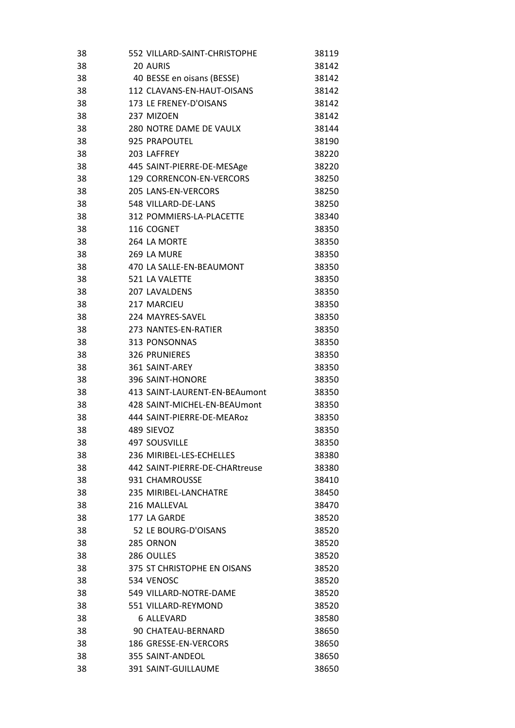| 38 | 552 VILLARD-SAINT-CHRISTOPHE   | 38119 |
|----|--------------------------------|-------|
| 38 | 20 AURIS                       | 38142 |
| 38 | 40 BESSE en oisans (BESSE)     | 38142 |
| 38 | 112 CLAVANS-EN-HAUT-OISANS     | 38142 |
| 38 | 173 LE FRENEY-D'OISANS         | 38142 |
| 38 | 237 MIZOEN                     | 38142 |
| 38 | 280 NOTRE DAME DE VAULX        | 38144 |
| 38 | 925 PRAPOUTEL                  | 38190 |
| 38 | 203 LAFFREY                    | 38220 |
| 38 | 445 SAINT-PIERRE-DE-MESAge     | 38220 |
| 38 | 129 CORRENCON-EN-VERCORS       | 38250 |
| 38 | 205 LANS-EN-VERCORS            | 38250 |
| 38 | 548 VILLARD-DE-LANS            | 38250 |
| 38 | 312 POMMIERS-LA-PLACETTE       | 38340 |
| 38 | 116 COGNET                     | 38350 |
| 38 | 264 LA MORTE                   | 38350 |
| 38 | 269 LA MURE                    | 38350 |
| 38 | 470 LA SALLE-EN-BEAUMONT       | 38350 |
| 38 | 521 LA VALETTE                 | 38350 |
| 38 | <b>207 LAVALDENS</b>           | 38350 |
| 38 | 217 MARCIEU                    | 38350 |
| 38 | 224 MAYRES-SAVEL               | 38350 |
| 38 | 273 NANTES-EN-RATIER           | 38350 |
| 38 | 313 PONSONNAS                  | 38350 |
| 38 | <b>326 PRUNIERES</b>           | 38350 |
| 38 | 361 SAINT-AREY                 | 38350 |
| 38 | 396 SAINT-HONORE               | 38350 |
| 38 | 413 SAINT-LAURENT-EN-BEAumont  | 38350 |
| 38 | 428 SAINT-MICHEL-EN-BEAUmont   | 38350 |
| 38 | 444 SAINT-PIERRE-DE-MEAR0z     | 38350 |
| 38 | 489 SIEVOZ                     | 38350 |
| 38 | <b>497 SOUSVILLE</b>           | 38350 |
| 38 | 236 MIRIBEL-LES-ECHELLES       | 38380 |
| 38 | 442 SAINT-PIERRE-DE-CHARtreuse | 38380 |
| 38 | 931 CHAMROUSSE                 | 38410 |
| 38 | 235 MIRIBEL-LANCHATRE          | 38450 |
| 38 | 216 MALLFVAL                   | 38470 |
| 38 | 177 LA GARDE                   | 38520 |
| 38 | 52 LE BOURG-D'OISANS           | 38520 |
| 38 | 285 ORNON                      | 38520 |
| 38 | 286 OULLES                     | 38520 |
| 38 | 375 ST CHRISTOPHE EN OISANS    | 38520 |
| 38 | 534 VENOSC                     | 38520 |
| 38 | 549 VILLARD-NOTRE-DAME         | 38520 |
| 38 | 551 VILLARD-REYMOND            | 38520 |
| 38 | <b>6 ALLEVARD</b>              | 38580 |
| 38 | 90 CHATEAU-BERNARD             | 38650 |
| 38 | 186 GRESSE-EN-VERCORS          | 38650 |
| 38 | 355 SAINT-ANDEOL               | 38650 |
| 38 | 391 SAINT-GUILLAUME            | 38650 |
|    |                                |       |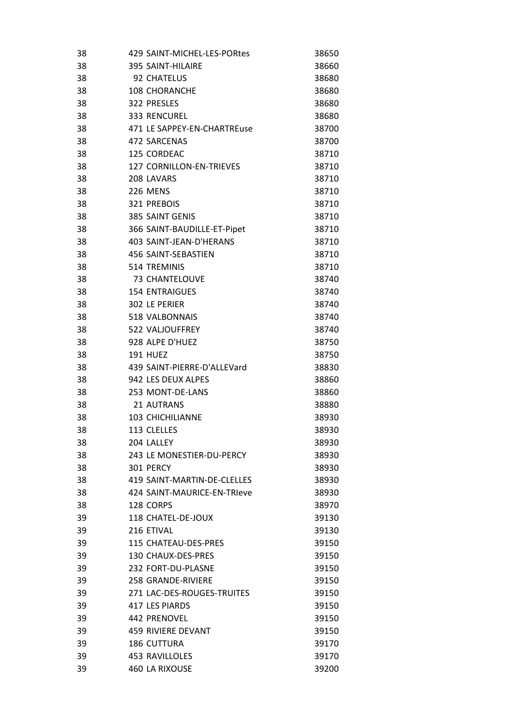| 38 | 429 SAINT-MICHEL-LES-PORtes     | 38650 |
|----|---------------------------------|-------|
| 38 | 395 SAINT-HILAIRE               | 38660 |
| 38 | 92 CHATELUS                     | 38680 |
| 38 | <b>108 CHORANCHE</b>            | 38680 |
| 38 | 322 PRESLES                     | 38680 |
| 38 | 333 RENCUREL                    | 38680 |
| 38 | 471 LE SAPPEY-EN-CHARTREuse     | 38700 |
| 38 | 472 SARCENAS                    | 38700 |
| 38 | 125 CORDEAC                     | 38710 |
| 38 | <b>127 CORNILLON-EN-TRIEVES</b> | 38710 |
| 38 | 208 LAVARS                      | 38710 |
| 38 | 226 MENS                        | 38710 |
| 38 | 321 PREBOIS                     | 38710 |
| 38 | 385 SAINT GENIS                 | 38710 |
| 38 | 366 SAINT-BAUDILLE-ET-Pipet     | 38710 |
| 38 | 403 SAINT-JEAN-D'HERANS         | 38710 |
| 38 | 456 SAINT-SEBASTIEN             | 38710 |
| 38 | 514 TREMINIS                    | 38710 |
| 38 | 73 CHANTELOUVE                  | 38740 |
| 38 | <b>154 ENTRAIGUES</b>           | 38740 |
| 38 | 302 LE PERIER                   | 38740 |
| 38 | 518 VALBONNAIS                  | 38740 |
| 38 | 522 VALJOUFFREY                 | 38740 |
| 38 | 928 ALPE D'HUEZ                 | 38750 |
| 38 | <b>191 HUEZ</b>                 | 38750 |
| 38 | 439 SAINT-PIERRE-D'ALLEVard     | 38830 |
| 38 | 942 LES DEUX ALPES              | 38860 |
| 38 | 253 MONT-DE-LANS                | 38860 |
| 38 | 21 AUTRANS                      | 38880 |
| 38 | 103 CHICHILIANNE                | 38930 |
| 38 | 113 CLELLES                     | 38930 |
| 38 | 204 LALLEY                      | 38930 |
| 38 | 243 LE MONESTIER-DU-PERCY       | 38930 |
| 38 | 301 PERCY                       | 38930 |
| 38 | 419 SAINT-MARTIN-DE-CLELLES     | 38930 |
| 38 | 424 SAINT-MAURICE-EN-TRIeve     | 38930 |
| 38 | 128 CORPS                       | 38970 |
| 39 | 118 CHATEL-DE-JOUX              | 39130 |
| 39 | 216 ETIVAL                      | 39130 |
| 39 | <b>115 CHATEAU-DES-PRES</b>     | 39150 |
| 39 | 130 CHAUX-DES-PRES              | 39150 |
| 39 | 232 FORT-DU-PLASNE              | 39150 |
| 39 | <b>258 GRANDE-RIVIERE</b>       | 39150 |
| 39 | 271 LAC-DES-ROUGES-TRUITES      | 39150 |
| 39 | 417 LES PIARDS                  | 39150 |
| 39 | 442 PRENOVEL                    | 39150 |
| 39 | 459 RIVIERE DEVANT              | 39150 |
| 39 | <b>186 CUTTURA</b>              | 39170 |
| 39 | <b>453 RAVILLOLES</b>           | 39170 |
| 39 | <b>460 LA RIXOUSE</b>           | 39200 |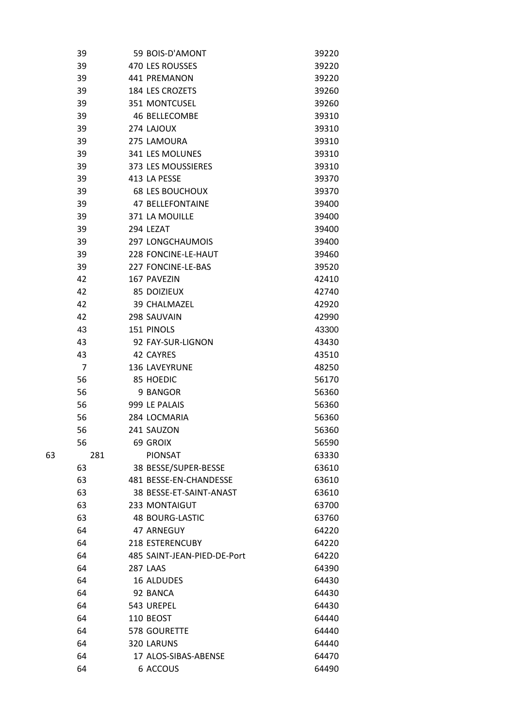|    | 39             | 59 BOIS-D'AMONT             | 39220 |
|----|----------------|-----------------------------|-------|
|    | 39             | 470 LES ROUSSES             | 39220 |
|    | 39             | 441 PREMANON                | 39220 |
|    | 39             | 184 LES CROZETS             | 39260 |
|    | 39             | 351 MONTCUSEL               | 39260 |
|    | 39             | 46 BELLECOMBE               | 39310 |
|    | 39             | 274 LAJOUX                  | 39310 |
|    | 39             | 275 LAMOURA                 | 39310 |
|    | 39             | 341 LES MOLUNES             | 39310 |
|    | 39             | 373 LES MOUSSIERES          | 39310 |
|    | 39             | 413 LA PESSE                | 39370 |
|    | 39             | <b>68 LES BOUCHOUX</b>      | 39370 |
|    | 39             | <b>47 BELLEFONTAINE</b>     | 39400 |
|    | 39             | 371 LA MOUILLE              | 39400 |
|    | 39             | 294 LEZAT                   | 39400 |
|    | 39             | <b>297 LONGCHAUMOIS</b>     | 39400 |
|    | 39             | 228 FONCINE-LE-HAUT         | 39460 |
|    | 39             | <b>227 FONCINE-LE-BAS</b>   | 39520 |
|    | 42             | 167 PAVEZIN                 | 42410 |
|    | 42             | <b>85 DOIZIEUX</b>          | 42740 |
|    | 42             | 39 CHALMAZEL                | 42920 |
|    | 42             | 298 SAUVAIN                 | 42990 |
|    | 43             | 151 PINOLS                  | 43300 |
|    | 43             | 92 FAY-SUR-LIGNON           | 43430 |
|    | 43             | 42 CAYRES                   | 43510 |
|    | $\overline{7}$ | <b>136 LAVEYRUNE</b>        | 48250 |
|    | 56             | 85 HOEDIC                   | 56170 |
|    | 56             | 9 BANGOR                    | 56360 |
|    | 56             | 999 LE PALAIS               | 56360 |
|    | 56             | 284 LOCMARIA                | 56360 |
|    | 56             | 241 SAUZON                  | 56360 |
|    | 56             | 69 GROIX                    | 56590 |
| 63 | 281            | <b>PIONSAT</b>              | 63330 |
|    | 63             | 38 BESSE/SUPER-BESSE        | 63610 |
|    | 63             | 481 BESSE-EN-CHANDESSE      | 63610 |
|    | 63             | 38 BESSE-ET-SAINT-ANAST     | 63610 |
|    | 63             | 233 MONTAIGUT               | 63700 |
|    | 63             | <b>48 BOURG-LASTIC</b>      | 63760 |
|    | 64             | 47 ARNEGUY                  | 64220 |
|    | 64             | 218 ESTERENCUBY             | 64220 |
|    | 64             | 485 SAINT-JEAN-PIED-DE-Port | 64220 |
|    | 64             | 287 LAAS                    | 64390 |
|    | 64             | <b>16 ALDUDES</b>           | 64430 |
|    | 64             | 92 BANCA                    | 64430 |
|    | 64             | 543 UREPEL                  | 64430 |
|    | 64             | 110 BEOST                   | 64440 |
|    | 64             | 578 GOURETTE                | 64440 |
|    | 64             | 320 LARUNS                  | 64440 |
|    | 64             | 17 ALOS-SIBAS-ABENSE        | 64470 |
|    | 64             | 6 ACCOUS                    | 64490 |
|    |                |                             |       |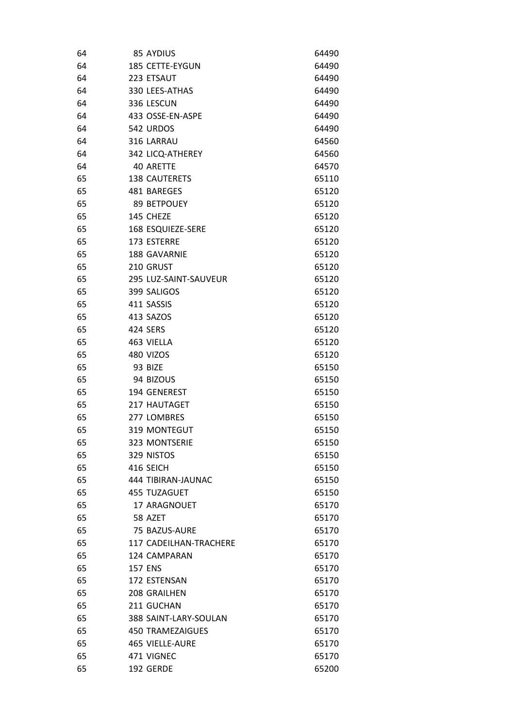| 64 | 85 AYDIUS                | 64490 |
|----|--------------------------|-------|
| 64 | 185 CETTE-EYGUN          | 64490 |
| 64 | 223 ETSAUT               | 64490 |
| 64 | 330 LEES-ATHAS           | 64490 |
| 64 | 336 LESCUN               | 64490 |
| 64 | 433 OSSE-EN-ASPE         | 64490 |
| 64 | 542 URDOS                | 64490 |
| 64 | 316 LARRAU               | 64560 |
| 64 | 342 LICQ-ATHEREY         | 64560 |
| 64 | 40 ARETTE                | 64570 |
| 65 | <b>138 CAUTERETS</b>     | 65110 |
| 65 | 481 BAREGES              | 65120 |
| 65 | 89 BETPOUEY              | 65120 |
| 65 | 145 CHEZE                | 65120 |
| 65 | <b>168 ESQUIEZE-SERE</b> | 65120 |
| 65 | 173 ESTERRE              | 65120 |
| 65 | 188 GAVARNIE             | 65120 |
| 65 | 210 GRUST                | 65120 |
| 65 | 295 LUZ-SAINT-SAUVEUR    | 65120 |
| 65 | 399 SALIGOS              | 65120 |
| 65 | 411 SASSIS               | 65120 |
| 65 | 413 SAZOS                | 65120 |
| 65 | 424 SERS                 | 65120 |
| 65 | 463 VIELLA               | 65120 |
| 65 | 480 VIZOS                | 65120 |
| 65 | 93 BIZE                  | 65150 |
| 65 | 94 BIZOUS                | 65150 |
| 65 | 194 GENEREST             | 65150 |
| 65 | 217 HAUTAGET             | 65150 |
| 65 | 277 LOMBRES              | 65150 |
| 65 | <b>319 MONTEGUT</b>      | 65150 |
| 65 | 323 MONTSERIE            | 65150 |
| 65 | 329 NISTOS               | 65150 |
| 65 | 416 SEICH                | 65150 |
| 65 | 444 TIBIRAN-JAUNAC       | 65150 |
| 65 | 455 TUZAGUET             | 65150 |
| 65 | 17 ARAGNOUET             | 65170 |
| 65 | 58 AZET                  | 65170 |
| 65 | 75 BAZUS-AURE            | 65170 |
| 65 | 117 CADEILHAN-TRACHERE   | 65170 |
| 65 | 124 CAMPARAN             | 65170 |
| 65 | <b>157 ENS</b>           | 65170 |
| 65 | 172 ESTENSAN             | 65170 |
| 65 | 208 GRAILHEN             | 65170 |
| 65 | 211 GUCHAN               | 65170 |
| 65 | 388 SAINT-LARY-SOULAN    | 65170 |
| 65 | 450 TRAMEZAIGUES         | 65170 |
| 65 | 465 VIELLE-AURE          | 65170 |
| 65 | 471 VIGNEC               | 65170 |
| 65 | 192 GERDE                | 65200 |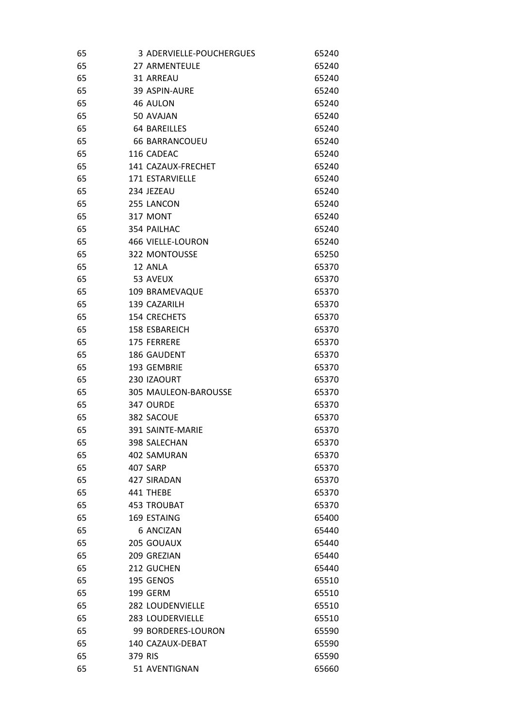| 65 | 3 ADERVIELLE-POUCHERGUES | 65240 |
|----|--------------------------|-------|
| 65 | 27 ARMENTEULE            | 65240 |
| 65 | 31 ARREAU                | 65240 |
| 65 | 39 ASPIN-AURE            | 65240 |
| 65 | 46 AULON                 | 65240 |
| 65 | 50 AVAJAN                | 65240 |
| 65 | <b>64 BAREILLES</b>      | 65240 |
| 65 | <b>66 BARRANCOUEU</b>    | 65240 |
| 65 | 116 CADEAC               | 65240 |
| 65 | 141 CAZAUX-FRECHET       | 65240 |
| 65 | 171 ESTARVIELLE          | 65240 |
| 65 | 234 JEZEAU               | 65240 |
| 65 | 255 LANCON               | 65240 |
| 65 | 317 MONT                 | 65240 |
| 65 | 354 PAILHAC              | 65240 |
| 65 | 466 VIELLE-LOURON        | 65240 |
| 65 | 322 MONTOUSSE            | 65250 |
| 65 | 12 ANLA                  | 65370 |
| 65 | 53 AVEUX                 | 65370 |
| 65 | 109 BRAMEVAQUE           | 65370 |
| 65 | 139 CAZARILH             | 65370 |
| 65 | 154 CRECHETS             | 65370 |
| 65 | 158 ESBAREICH            | 65370 |
| 65 | 175 FERRERE              | 65370 |
| 65 | 186 GAUDENT              | 65370 |
| 65 | 193 GEMBRIE              | 65370 |
| 65 | 230 IZAOURT              | 65370 |
| 65 | 305 MAULEON-BAROUSSE     | 65370 |
| 65 | 347 OURDE                | 65370 |
| 65 | 382 SACOUE               | 65370 |
| 65 | 391 SAINTE-MARIE         | 65370 |
| 65 | 398 SALECHAN             | 65370 |
| 65 | 402 SAMURAN              | 65370 |
| 65 | 407 SARP                 | 65370 |
| 65 | 427 SIRADAN              | 65370 |
| 65 | 441 THEBE                | 65370 |
| 65 | <b>453 TROUBAT</b>       | 65370 |
| 65 | 169 ESTAING              | 65400 |
| 65 | <b>6 ANCIZAN</b>         | 65440 |
| 65 | 205 GOUAUX               | 65440 |
| 65 | 209 GREZIAN              | 65440 |
| 65 | 212 GUCHEN               | 65440 |
| 65 | 195 GENOS                | 65510 |
| 65 | 199 GERM                 | 65510 |
| 65 | 282 LOUDENVIELLE         | 65510 |
| 65 | <b>283 LOUDERVIELLE</b>  | 65510 |
| 65 | 99 BORDERES-LOURON       | 65590 |
| 65 | 140 CAZAUX-DEBAT         | 65590 |
| 65 | 379 RIS                  | 65590 |
| 65 | 51 AVENTIGNAN            | 65660 |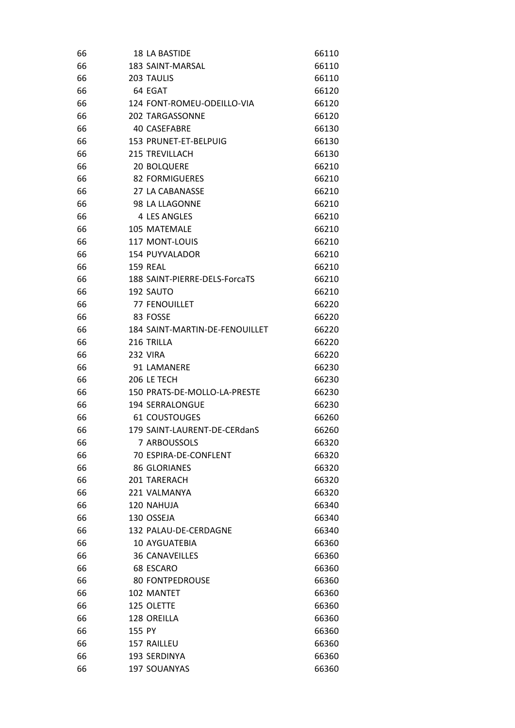| 183 SAINT-MARSAL<br>66110<br>203 TAULIS<br>66110<br>64 EGAT<br>66120<br>124 FONT-ROMEU-ODEILLO-VIA<br>66120<br><b>202 TARGASSONNE</b><br>66120<br><b>40 CASEFABRE</b><br>66130<br>153 PRUNET-ET-BELPUIG<br>66130<br><b>215 TREVILLACH</b><br>66130<br><b>20 BOLQUERE</b><br>66210<br>82 FORMIGUERES<br>66210<br>27 LA CABANASSE<br>66210<br>98 LA LLAGONNE<br>66210<br>4 LES ANGLES<br>66210<br>105 MATEMALE<br>66210<br><b>117 MONT-LOUIS</b><br>66210<br>154 PUYVALADOR<br>66210<br><b>159 REAL</b><br>66210<br>188 SAINT-PIERRE-DELS-ForcaTS<br>66210<br>192 SAUTO<br>66210<br><b>77 FENOUILLET</b><br>66220<br>83 FOSSE<br>66220<br>184 SAINT-MARTIN-DE-FENOUILLET<br>66220<br>216 TRILLA<br>66220<br><b>232 VIRA</b><br>66220<br>91 LAMANERE<br>66230<br>206 LE TECH<br>66230<br>150 PRATS-DE-MOLLO-LA-PRESTE<br>66230<br>194 SERRALONGUE<br>66230<br>61 COUSTOUGES<br>66260<br>66<br>179 SAINT-LAURENT-DE-CERdanS<br>66260<br>7 ARBOUSSOLS<br>66<br>66320<br>66<br>70 ESPIRA-DE-CONFLENT<br>66320<br>66<br>86 GLORIANES<br>66320<br>201 TARERACH<br>66<br>66320<br>66<br>221 VALMANYA<br>66320<br>66<br>120 NAHUJA<br>66340<br>130 OSSEJA<br>66340<br>66<br>132 PALAU-DE-CERDAGNE<br>66340<br>10 AYGUATEBIA<br>66360<br>66<br><b>36 CANAVEILLES</b><br>66<br>66360<br>66<br>68 ESCARO<br>66360<br>66<br><b>80 FONTPEDROUSE</b><br>66360<br>66<br>102 MANTET<br>66360<br>125 OLETTE<br>66360<br>66<br>66<br>128 OREILLA<br>66360<br>155 PY<br>66<br>66360<br>66<br>157 RAILLEU<br>66360<br>193 SERDINYA<br>66360<br>66<br>197 SOUANYAS<br>66360<br>66 | 66 | <b>18 LA BASTIDE</b> | 66110 |
|------------------------------------------------------------------------------------------------------------------------------------------------------------------------------------------------------------------------------------------------------------------------------------------------------------------------------------------------------------------------------------------------------------------------------------------------------------------------------------------------------------------------------------------------------------------------------------------------------------------------------------------------------------------------------------------------------------------------------------------------------------------------------------------------------------------------------------------------------------------------------------------------------------------------------------------------------------------------------------------------------------------------------------------------------------------------------------------------------------------------------------------------------------------------------------------------------------------------------------------------------------------------------------------------------------------------------------------------------------------------------------------------------------------------------------------------------------------------------------------------------------------------------------------------------------|----|----------------------|-------|
|                                                                                                                                                                                                                                                                                                                                                                                                                                                                                                                                                                                                                                                                                                                                                                                                                                                                                                                                                                                                                                                                                                                                                                                                                                                                                                                                                                                                                                                                                                                                                            | 66 |                      |       |
|                                                                                                                                                                                                                                                                                                                                                                                                                                                                                                                                                                                                                                                                                                                                                                                                                                                                                                                                                                                                                                                                                                                                                                                                                                                                                                                                                                                                                                                                                                                                                            | 66 |                      |       |
|                                                                                                                                                                                                                                                                                                                                                                                                                                                                                                                                                                                                                                                                                                                                                                                                                                                                                                                                                                                                                                                                                                                                                                                                                                                                                                                                                                                                                                                                                                                                                            | 66 |                      |       |
|                                                                                                                                                                                                                                                                                                                                                                                                                                                                                                                                                                                                                                                                                                                                                                                                                                                                                                                                                                                                                                                                                                                                                                                                                                                                                                                                                                                                                                                                                                                                                            | 66 |                      |       |
|                                                                                                                                                                                                                                                                                                                                                                                                                                                                                                                                                                                                                                                                                                                                                                                                                                                                                                                                                                                                                                                                                                                                                                                                                                                                                                                                                                                                                                                                                                                                                            | 66 |                      |       |
|                                                                                                                                                                                                                                                                                                                                                                                                                                                                                                                                                                                                                                                                                                                                                                                                                                                                                                                                                                                                                                                                                                                                                                                                                                                                                                                                                                                                                                                                                                                                                            | 66 |                      |       |
|                                                                                                                                                                                                                                                                                                                                                                                                                                                                                                                                                                                                                                                                                                                                                                                                                                                                                                                                                                                                                                                                                                                                                                                                                                                                                                                                                                                                                                                                                                                                                            | 66 |                      |       |
|                                                                                                                                                                                                                                                                                                                                                                                                                                                                                                                                                                                                                                                                                                                                                                                                                                                                                                                                                                                                                                                                                                                                                                                                                                                                                                                                                                                                                                                                                                                                                            | 66 |                      |       |
|                                                                                                                                                                                                                                                                                                                                                                                                                                                                                                                                                                                                                                                                                                                                                                                                                                                                                                                                                                                                                                                                                                                                                                                                                                                                                                                                                                                                                                                                                                                                                            | 66 |                      |       |
|                                                                                                                                                                                                                                                                                                                                                                                                                                                                                                                                                                                                                                                                                                                                                                                                                                                                                                                                                                                                                                                                                                                                                                                                                                                                                                                                                                                                                                                                                                                                                            | 66 |                      |       |
|                                                                                                                                                                                                                                                                                                                                                                                                                                                                                                                                                                                                                                                                                                                                                                                                                                                                                                                                                                                                                                                                                                                                                                                                                                                                                                                                                                                                                                                                                                                                                            | 66 |                      |       |
|                                                                                                                                                                                                                                                                                                                                                                                                                                                                                                                                                                                                                                                                                                                                                                                                                                                                                                                                                                                                                                                                                                                                                                                                                                                                                                                                                                                                                                                                                                                                                            | 66 |                      |       |
|                                                                                                                                                                                                                                                                                                                                                                                                                                                                                                                                                                                                                                                                                                                                                                                                                                                                                                                                                                                                                                                                                                                                                                                                                                                                                                                                                                                                                                                                                                                                                            | 66 |                      |       |
|                                                                                                                                                                                                                                                                                                                                                                                                                                                                                                                                                                                                                                                                                                                                                                                                                                                                                                                                                                                                                                                                                                                                                                                                                                                                                                                                                                                                                                                                                                                                                            | 66 |                      |       |
|                                                                                                                                                                                                                                                                                                                                                                                                                                                                                                                                                                                                                                                                                                                                                                                                                                                                                                                                                                                                                                                                                                                                                                                                                                                                                                                                                                                                                                                                                                                                                            | 66 |                      |       |
|                                                                                                                                                                                                                                                                                                                                                                                                                                                                                                                                                                                                                                                                                                                                                                                                                                                                                                                                                                                                                                                                                                                                                                                                                                                                                                                                                                                                                                                                                                                                                            | 66 |                      |       |
|                                                                                                                                                                                                                                                                                                                                                                                                                                                                                                                                                                                                                                                                                                                                                                                                                                                                                                                                                                                                                                                                                                                                                                                                                                                                                                                                                                                                                                                                                                                                                            | 66 |                      |       |
|                                                                                                                                                                                                                                                                                                                                                                                                                                                                                                                                                                                                                                                                                                                                                                                                                                                                                                                                                                                                                                                                                                                                                                                                                                                                                                                                                                                                                                                                                                                                                            | 66 |                      |       |
|                                                                                                                                                                                                                                                                                                                                                                                                                                                                                                                                                                                                                                                                                                                                                                                                                                                                                                                                                                                                                                                                                                                                                                                                                                                                                                                                                                                                                                                                                                                                                            | 66 |                      |       |
|                                                                                                                                                                                                                                                                                                                                                                                                                                                                                                                                                                                                                                                                                                                                                                                                                                                                                                                                                                                                                                                                                                                                                                                                                                                                                                                                                                                                                                                                                                                                                            | 66 |                      |       |
|                                                                                                                                                                                                                                                                                                                                                                                                                                                                                                                                                                                                                                                                                                                                                                                                                                                                                                                                                                                                                                                                                                                                                                                                                                                                                                                                                                                                                                                                                                                                                            | 66 |                      |       |
|                                                                                                                                                                                                                                                                                                                                                                                                                                                                                                                                                                                                                                                                                                                                                                                                                                                                                                                                                                                                                                                                                                                                                                                                                                                                                                                                                                                                                                                                                                                                                            | 66 |                      |       |
|                                                                                                                                                                                                                                                                                                                                                                                                                                                                                                                                                                                                                                                                                                                                                                                                                                                                                                                                                                                                                                                                                                                                                                                                                                                                                                                                                                                                                                                                                                                                                            | 66 |                      |       |
|                                                                                                                                                                                                                                                                                                                                                                                                                                                                                                                                                                                                                                                                                                                                                                                                                                                                                                                                                                                                                                                                                                                                                                                                                                                                                                                                                                                                                                                                                                                                                            | 66 |                      |       |
|                                                                                                                                                                                                                                                                                                                                                                                                                                                                                                                                                                                                                                                                                                                                                                                                                                                                                                                                                                                                                                                                                                                                                                                                                                                                                                                                                                                                                                                                                                                                                            | 66 |                      |       |
|                                                                                                                                                                                                                                                                                                                                                                                                                                                                                                                                                                                                                                                                                                                                                                                                                                                                                                                                                                                                                                                                                                                                                                                                                                                                                                                                                                                                                                                                                                                                                            | 66 |                      |       |
|                                                                                                                                                                                                                                                                                                                                                                                                                                                                                                                                                                                                                                                                                                                                                                                                                                                                                                                                                                                                                                                                                                                                                                                                                                                                                                                                                                                                                                                                                                                                                            | 66 |                      |       |
|                                                                                                                                                                                                                                                                                                                                                                                                                                                                                                                                                                                                                                                                                                                                                                                                                                                                                                                                                                                                                                                                                                                                                                                                                                                                                                                                                                                                                                                                                                                                                            | 66 |                      |       |
|                                                                                                                                                                                                                                                                                                                                                                                                                                                                                                                                                                                                                                                                                                                                                                                                                                                                                                                                                                                                                                                                                                                                                                                                                                                                                                                                                                                                                                                                                                                                                            | 66 |                      |       |
|                                                                                                                                                                                                                                                                                                                                                                                                                                                                                                                                                                                                                                                                                                                                                                                                                                                                                                                                                                                                                                                                                                                                                                                                                                                                                                                                                                                                                                                                                                                                                            |    |                      |       |
|                                                                                                                                                                                                                                                                                                                                                                                                                                                                                                                                                                                                                                                                                                                                                                                                                                                                                                                                                                                                                                                                                                                                                                                                                                                                                                                                                                                                                                                                                                                                                            |    |                      |       |
|                                                                                                                                                                                                                                                                                                                                                                                                                                                                                                                                                                                                                                                                                                                                                                                                                                                                                                                                                                                                                                                                                                                                                                                                                                                                                                                                                                                                                                                                                                                                                            |    |                      |       |
|                                                                                                                                                                                                                                                                                                                                                                                                                                                                                                                                                                                                                                                                                                                                                                                                                                                                                                                                                                                                                                                                                                                                                                                                                                                                                                                                                                                                                                                                                                                                                            |    |                      |       |
|                                                                                                                                                                                                                                                                                                                                                                                                                                                                                                                                                                                                                                                                                                                                                                                                                                                                                                                                                                                                                                                                                                                                                                                                                                                                                                                                                                                                                                                                                                                                                            |    |                      |       |
|                                                                                                                                                                                                                                                                                                                                                                                                                                                                                                                                                                                                                                                                                                                                                                                                                                                                                                                                                                                                                                                                                                                                                                                                                                                                                                                                                                                                                                                                                                                                                            |    |                      |       |
|                                                                                                                                                                                                                                                                                                                                                                                                                                                                                                                                                                                                                                                                                                                                                                                                                                                                                                                                                                                                                                                                                                                                                                                                                                                                                                                                                                                                                                                                                                                                                            |    |                      |       |
|                                                                                                                                                                                                                                                                                                                                                                                                                                                                                                                                                                                                                                                                                                                                                                                                                                                                                                                                                                                                                                                                                                                                                                                                                                                                                                                                                                                                                                                                                                                                                            | 66 |                      |       |
|                                                                                                                                                                                                                                                                                                                                                                                                                                                                                                                                                                                                                                                                                                                                                                                                                                                                                                                                                                                                                                                                                                                                                                                                                                                                                                                                                                                                                                                                                                                                                            |    |                      |       |
|                                                                                                                                                                                                                                                                                                                                                                                                                                                                                                                                                                                                                                                                                                                                                                                                                                                                                                                                                                                                                                                                                                                                                                                                                                                                                                                                                                                                                                                                                                                                                            |    |                      |       |
|                                                                                                                                                                                                                                                                                                                                                                                                                                                                                                                                                                                                                                                                                                                                                                                                                                                                                                                                                                                                                                                                                                                                                                                                                                                                                                                                                                                                                                                                                                                                                            |    |                      |       |
|                                                                                                                                                                                                                                                                                                                                                                                                                                                                                                                                                                                                                                                                                                                                                                                                                                                                                                                                                                                                                                                                                                                                                                                                                                                                                                                                                                                                                                                                                                                                                            |    |                      |       |
|                                                                                                                                                                                                                                                                                                                                                                                                                                                                                                                                                                                                                                                                                                                                                                                                                                                                                                                                                                                                                                                                                                                                                                                                                                                                                                                                                                                                                                                                                                                                                            |    |                      |       |
|                                                                                                                                                                                                                                                                                                                                                                                                                                                                                                                                                                                                                                                                                                                                                                                                                                                                                                                                                                                                                                                                                                                                                                                                                                                                                                                                                                                                                                                                                                                                                            |    |                      |       |
|                                                                                                                                                                                                                                                                                                                                                                                                                                                                                                                                                                                                                                                                                                                                                                                                                                                                                                                                                                                                                                                                                                                                                                                                                                                                                                                                                                                                                                                                                                                                                            |    |                      |       |
|                                                                                                                                                                                                                                                                                                                                                                                                                                                                                                                                                                                                                                                                                                                                                                                                                                                                                                                                                                                                                                                                                                                                                                                                                                                                                                                                                                                                                                                                                                                                                            |    |                      |       |
|                                                                                                                                                                                                                                                                                                                                                                                                                                                                                                                                                                                                                                                                                                                                                                                                                                                                                                                                                                                                                                                                                                                                                                                                                                                                                                                                                                                                                                                                                                                                                            |    |                      |       |
|                                                                                                                                                                                                                                                                                                                                                                                                                                                                                                                                                                                                                                                                                                                                                                                                                                                                                                                                                                                                                                                                                                                                                                                                                                                                                                                                                                                                                                                                                                                                                            |    |                      |       |
|                                                                                                                                                                                                                                                                                                                                                                                                                                                                                                                                                                                                                                                                                                                                                                                                                                                                                                                                                                                                                                                                                                                                                                                                                                                                                                                                                                                                                                                                                                                                                            |    |                      |       |
|                                                                                                                                                                                                                                                                                                                                                                                                                                                                                                                                                                                                                                                                                                                                                                                                                                                                                                                                                                                                                                                                                                                                                                                                                                                                                                                                                                                                                                                                                                                                                            |    |                      |       |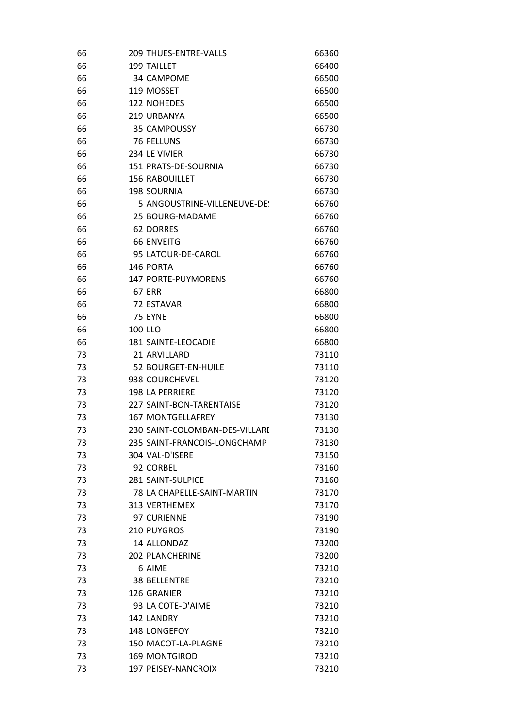| 66 | <b>209 THUES-ENTRE-VALLS</b>   | 66360 |
|----|--------------------------------|-------|
| 66 | <b>199 TAILLET</b>             | 66400 |
| 66 | 34 CAMPOME                     | 66500 |
| 66 | 119 MOSSET                     | 66500 |
| 66 | 122 NOHEDES                    | 66500 |
| 66 | 219 URBANYA                    | 66500 |
| 66 | 35 CAMPOUSSY                   | 66730 |
| 66 | <b>76 FELLUNS</b>              | 66730 |
| 66 | 234 LE VIVIER                  | 66730 |
| 66 | 151 PRATS-DE-SOURNIA           | 66730 |
| 66 | <b>156 RABOUILLET</b>          | 66730 |
| 66 | <b>198 SOURNIA</b>             | 66730 |
| 66 | 5 ANGOUSTRINE-VILLENEUVE-DE:   | 66760 |
| 66 | 25 BOURG-MADAME                | 66760 |
| 66 | <b>62 DORRES</b>               | 66760 |
| 66 | <b>66 ENVEITG</b>              | 66760 |
| 66 | 95 LATOUR-DE-CAROL             | 66760 |
| 66 | 146 PORTA                      | 66760 |
| 66 | <b>147 PORTE-PUYMORENS</b>     | 66760 |
| 66 | <b>67 ERR</b>                  | 66800 |
| 66 | 72 ESTAVAR                     | 66800 |
| 66 | 75 EYNE                        | 66800 |
| 66 | 100 LLO                        | 66800 |
| 66 | 181 SAINTE-LEOCADIE            | 66800 |
| 73 | 21 ARVILLARD                   | 73110 |
| 73 | 52 BOURGET-EN-HUILE            | 73110 |
| 73 | 938 COURCHEVEL                 | 73120 |
| 73 | <b>198 LA PERRIERE</b>         | 73120 |
| 73 | 227 SAINT-BON-TARENTAISE       | 73120 |
| 73 | <b>167 MONTGELLAFREY</b>       | 73130 |
| 73 | 230 SAINT-COLOMBAN-DES-VILLARI | 73130 |
| 73 | 235 SAINT-FRANCOIS-LONGCHAMP   | 73130 |
| 73 | 304 VAL-D'ISERE                | 73150 |
| 73 | 92 CORBEL                      | 73160 |
| 73 | 281 SAINT-SULPICE              | 73160 |
| 73 | 78 LA CHAPELLE-SAINT-MARTIN    | 73170 |
| 73 | <b>313 VERTHEMEX</b>           | 73170 |
| 73 | 97 CURIENNE                    | 73190 |
| 73 | 210 PUYGROS                    | 73190 |
| 73 | 14 ALLONDAZ                    | 73200 |
| 73 | <b>202 PLANCHERINE</b>         | 73200 |
| 73 | 6 AIME                         | 73210 |
| 73 | <b>38 BELLENTRE</b>            | 73210 |
| 73 | 126 GRANIER                    | 73210 |
| 73 | 93 LA COTE-D'AIME              | 73210 |
| 73 | 142 LANDRY                     | 73210 |
| 73 | 148 LONGEFOY                   | 73210 |
| 73 | 150 MACOT-LA-PLAGNE            | 73210 |
| 73 | <b>169 MONTGIROD</b>           | 73210 |
| 73 | 197 PEISEY-NANCROIX            | 73210 |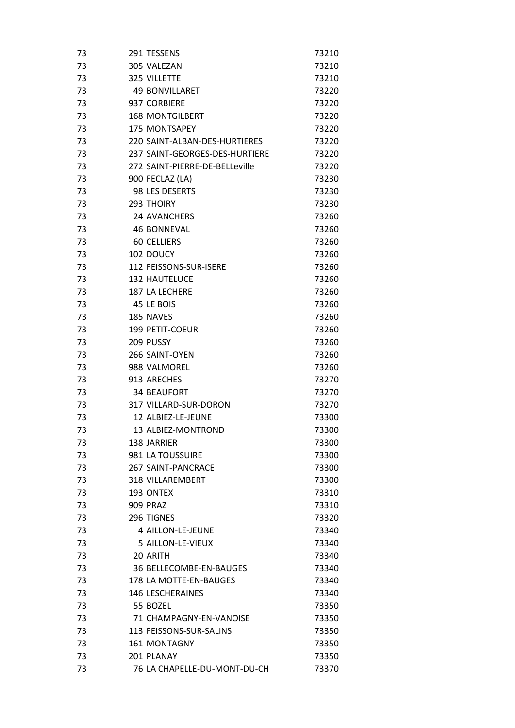| 73 | 291 TESSENS                    | 73210 |
|----|--------------------------------|-------|
| 73 | 305 VALEZAN                    | 73210 |
| 73 | 325 VILLETTE                   | 73210 |
| 73 | <b>49 BONVILLARET</b>          | 73220 |
| 73 | 937 CORBIERE                   | 73220 |
| 73 | <b>168 MONTGILBERT</b>         | 73220 |
| 73 | 175 MONTSAPEY                  | 73220 |
| 73 | 220 SAINT-ALBAN-DES-HURTIERES  | 73220 |
| 73 | 237 SAINT-GEORGES-DES-HURTIERE | 73220 |
| 73 | 272 SAINT-PIERRE-DE-BELLeville | 73220 |
| 73 | 900 FECLAZ (LA)                | 73230 |
| 73 | 98 LES DESERTS                 | 73230 |
| 73 | <b>293 THOIRY</b>              | 73230 |
| 73 | <b>24 AVANCHERS</b>            | 73260 |
| 73 | <b>46 BONNEVAL</b>             | 73260 |
| 73 | <b>60 CELLIERS</b>             | 73260 |
| 73 | 102 DOUCY                      | 73260 |
| 73 | 112 FEISSONS-SUR-ISERE         | 73260 |
| 73 | <b>132 HAUTELUCE</b>           | 73260 |
| 73 | 187 LA LECHERE                 | 73260 |
| 73 | 45 LE BOIS                     | 73260 |
| 73 | 185 NAVES                      | 73260 |
| 73 | 199 PETIT-COEUR                | 73260 |
| 73 | 209 PUSSY                      | 73260 |
| 73 | 266 SAINT-OYEN                 | 73260 |
| 73 | 988 VALMOREL                   | 73260 |
| 73 | 913 ARECHES                    | 73270 |
| 73 | <b>34 BEAUFORT</b>             | 73270 |
| 73 | 317 VILLARD-SUR-DORON          | 73270 |
| 73 | 12 ALBIEZ-LE-JEUNE             | 73300 |
| 73 | 13 ALBIEZ-MONTROND             | 73300 |
| 73 | 138 JARRIER                    | 73300 |
| 73 | 981 LA TOUSSUIRE               | 73300 |
| 73 | <b>267 SAINT-PANCRACE</b>      | 73300 |
| 73 | <b>318 VILLAREMBERT</b>        | 73300 |
| 73 | 193 ONTEX                      | 73310 |
| 73 | <b>909 PRAZ</b>                | 73310 |
| 73 | 296 TIGNES                     | 73320 |
| 73 | 4 AILLON-LE-JEUNE              | 73340 |
| 73 | 5 AILLON-LE-VIEUX              | 73340 |
| 73 | 20 ARITH                       | 73340 |
| 73 | 36 BELLECOMBE-EN-BAUGES        | 73340 |
| 73 | 178 LA MOTTE-EN-BAUGES         | 73340 |
| 73 | <b>146 LESCHERAINES</b>        | 73340 |
| 73 | 55 BOZEL                       | 73350 |
| 73 | 71 CHAMPAGNY-EN-VANOISE        | 73350 |
| 73 | 113 FEISSONS-SUR-SALINS        | 73350 |
| 73 | <b>161 MONTAGNY</b>            | 73350 |
| 73 | 201 PLANAY                     | 73350 |
| 73 | 76 LA CHAPELLE-DU-MONT-DU-CH   | 73370 |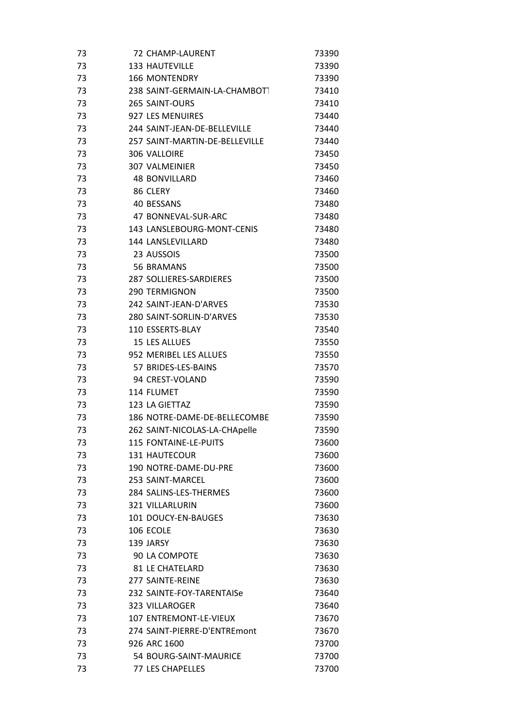| 73 | 72 CHAMP-LAURENT               | 73390 |
|----|--------------------------------|-------|
| 73 | <b>133 HAUTEVILLE</b>          | 73390 |
| 73 | <b>166 MONTENDRY</b>           | 73390 |
| 73 | 238 SAINT-GERMAIN-LA-CHAMBOTT  | 73410 |
| 73 | 265 SAINT-OURS                 | 73410 |
| 73 | 927 LES MENUIRES               | 73440 |
| 73 | 244 SAINT-JEAN-DE-BELLEVILLE   | 73440 |
| 73 | 257 SAINT-MARTIN-DF-BFLLFVILLF | 73440 |
| 73 | 306 VALLOIRE                   | 73450 |
| 73 | 307 VALMEINIER                 | 73450 |
| 73 | <b>48 BONVILLARD</b>           | 73460 |
| 73 | 86 CLERY                       | 73460 |
| 73 | 40 BESSANS                     | 73480 |
| 73 | 47 BONNEVAL-SUR-ARC            | 73480 |
| 73 | 143 LANSLEBOURG-MONT-CENIS     | 73480 |
| 73 | <b>144 LANSLEVILLARD</b>       | 73480 |
| 73 | 23 AUSSOIS                     | 73500 |
| 73 | 56 BRAMANS                     | 73500 |
| 73 | 287 SOLLIERES-SARDIERES        | 73500 |
| 73 | <b>290 TERMIGNON</b>           | 73500 |
| 73 | 242 SAINT-JEAN-D'ARVES         | 73530 |
| 73 | 280 SAINT-SORLIN-D'ARVES       | 73530 |
| 73 | 110 ESSERTS-BLAY               | 73540 |
| 73 | 15 LES ALLUES                  | 73550 |
| 73 | 952 MERIBEL LES ALLUES         | 73550 |
| 73 | 57 BRIDES-LES-BAINS            | 73570 |
| 73 | 94 CREST-VOLAND                | 73590 |
| 73 | 114 FLUMET                     | 73590 |
| 73 | 123 LA GIETTAZ                 | 73590 |
| 73 | 186 NOTRE-DAME-DE-BELLECOMBE   | 73590 |
| 73 | 262 SAINT-NICOLAS-LA-CHApelle  | 73590 |
| 73 | 115 FONTAINE-LE-PUITS          | 73600 |
| 73 | 131 HAUTECOUR                  | 73600 |
| 73 | 190 NOTRE-DAME-DU-PRE          | 73600 |
| 73 | 253 SAINT-MARCEL               | 73600 |
| 73 | 284 SALINS-LES-THERMES         | 73600 |
| 73 | <b>321 VILLARLURIN</b>         | 73600 |
| 73 | 101 DOUCY-EN-BAUGES            | 73630 |
| 73 | 106 ECOLE                      | 73630 |
| 73 | 139 JARSY                      | 73630 |
| 73 | 90 LA COMPOTE                  | 73630 |
| 73 | <b>81 LE CHATELARD</b>         | 73630 |
| 73 | 277 SAINTE-REINE               | 73630 |
| 73 | 232 SAINTE-FOY-TARENTAISe      | 73640 |
| 73 | <b>323 VILLAROGER</b>          | 73640 |
| 73 | 107 ENTREMONT-LE-VIEUX         | 73670 |
| 73 | 274 SAINT-PIERRE-D'ENTREmont   | 73670 |
| 73 | 926 ARC 1600                   | 73700 |
| 73 | 54 BOURG-SAINT-MAURICE         | 73700 |
| 73 | 77 LES CHAPELLES               | 73700 |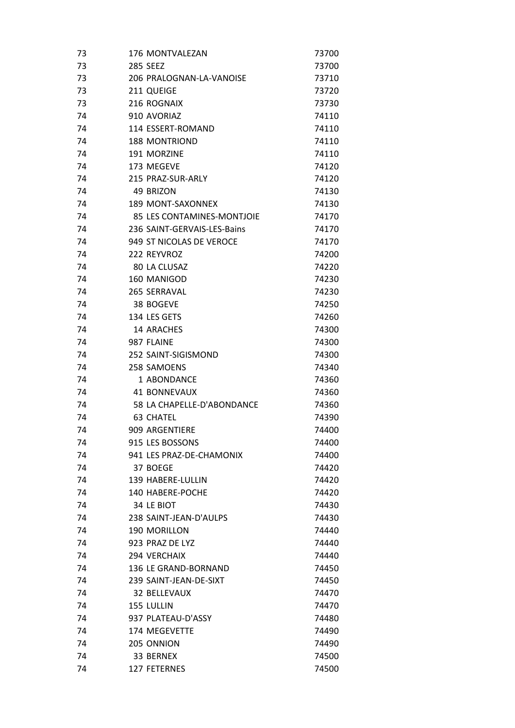| 73 | 176 MONTVALEZAN             | 73700 |
|----|-----------------------------|-------|
| 73 | <b>285 SEEZ</b>             | 73700 |
| 73 | 206 PRALOGNAN-LA-VANOISE    | 73710 |
| 73 | 211 QUEIGE                  | 73720 |
| 73 | 216 ROGNAIX                 | 73730 |
| 74 | 910 AVORIAZ                 | 74110 |
| 74 | 114 ESSERT-ROMAND           | 74110 |
| 74 | <b>188 MONTRIOND</b>        | 74110 |
| 74 | 191 MORZINE                 | 74110 |
| 74 | 173 MEGEVE                  | 74120 |
| 74 | 215 PRAZ-SUR-ARLY           | 74120 |
| 74 | 49 BRIZON                   | 74130 |
| 74 | 189 MONT-SAXONNEX           | 74130 |
| 74 | 85 LES CONTAMINES-MONTJOIE  | 74170 |
| 74 | 236 SAINT-GERVAIS-LES-Bains | 74170 |
| 74 | 949 ST NICOLAS DE VEROCE    | 74170 |
| 74 | 222 REYVROZ                 | 74200 |
| 74 | 80 LA CLUSAZ                | 74220 |
| 74 | 160 MANIGOD                 | 74230 |
| 74 | 265 SERRAVAL                | 74230 |
| 74 | 38 BOGEVE                   | 74250 |
| 74 | 134 LES GETS                | 74260 |
| 74 | 14 ARACHES                  | 74300 |
| 74 | 987 FLAINE                  | 74300 |
| 74 | 252 SAINT-SIGISMOND         | 74300 |
| 74 | 258 SAMOENS                 | 74340 |
| 74 | 1 ABONDANCE                 | 74360 |
| 74 | 41 BONNEVAUX                | 74360 |
| 74 | 58 LA CHAPELLE-D'ABONDANCE  | 74360 |
| 74 | <b>63 CHATEL</b>            | 74390 |
| 74 | 909 ARGENTIERE              | 74400 |
| 74 | 915 LES BOSSONS             | 74400 |
| 74 | 941 LES PRAZ-DE-CHAMONIX    | 74400 |
| 74 | 37 BOEGE                    | 74420 |
| 74 | 139 HABERE-LULLIN           | 74420 |
| 74 | 140 HABERE-POCHE            | 74420 |
| 74 | 34 LE BIOT                  | 74430 |
| 74 | 238 SAINT-JEAN-D'AULPS      | 74430 |
| 74 | 190 MORILLON                | 74440 |
| 74 | 923 PRAZ DE LYZ             | 74440 |
| 74 | 294 VERCHAIX                | 74440 |
| 74 | 136 LE GRAND-BORNAND        | 74450 |
| 74 | 239 SAINT-JEAN-DE-SIXT      | 74450 |
| 74 | <b>32 BELLEVAUX</b>         | 74470 |
| 74 | 155 LULLIN                  | 74470 |
| 74 | 937 PLATEAU-D'ASSY          | 74480 |
| 74 | 174 MEGEVETTE               | 74490 |
| 74 | 205 ONNION                  | 74490 |
| 74 | 33 BERNEX                   | 74500 |
| 74 | 127 FETERNES                | 74500 |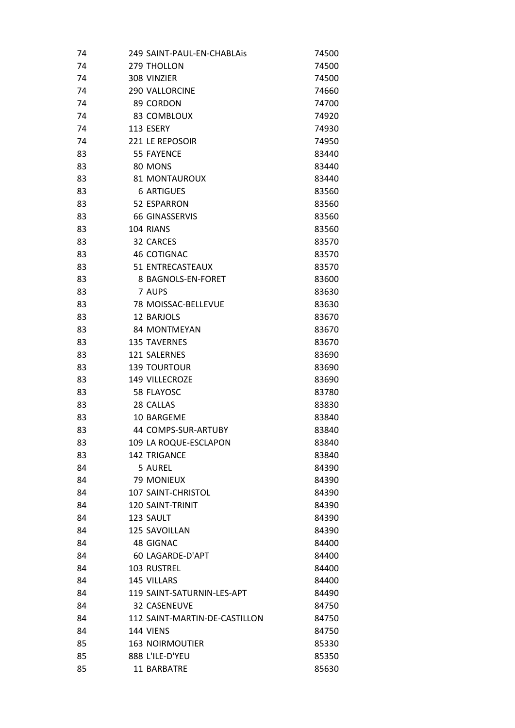| 74 |                    | 249 SAINT-PAUL-EN-CHABLAis    | 74500 |
|----|--------------------|-------------------------------|-------|
| 74 | 279 THOLLON        |                               | 74500 |
| 74 | 308 VINZIER        |                               | 74500 |
| 74 |                    | <b>290 VALLORCINE</b>         | 74660 |
| 74 | 89 CORDON          |                               | 74700 |
| 74 |                    | 83 COMBLOUX                   | 74920 |
| 74 | 113 ESERY          |                               | 74930 |
| 74 |                    | 221 LE REPOSOIR               | 74950 |
| 83 | <b>55 FAYENCE</b>  |                               | 83440 |
| 83 | 80 MONS            |                               | 83440 |
| 83 |                    | 81 MONTAUROUX                 | 83440 |
| 83 |                    | <b>6 ARTIGUES</b>             | 83560 |
| 83 |                    | 52 ESPARRON                   | 83560 |
| 83 |                    | 66 GINASSERVIS                | 83560 |
| 83 | 104 RIANS          |                               | 83560 |
| 83 | 32 CARCES          |                               | 83570 |
| 83 |                    | <b>46 COTIGNAC</b>            | 83570 |
| 83 |                    | 51 ENTRECASTEAUX              | 83570 |
| 83 |                    | 8 BAGNOLS-EN-FORET            | 83600 |
| 83 | 7 AUPS             |                               | 83630 |
| 83 |                    | 78 MOISSAC-BELLEVUE           | 83630 |
| 83 | 12 BARJOLS         |                               | 83670 |
| 83 |                    | 84 MONTMEYAN                  | 83670 |
| 83 |                    | <b>135 TAVERNES</b>           | 83670 |
| 83 | 121 SALERNES       |                               | 83690 |
| 83 |                    | <b>139 TOURTOUR</b>           | 83690 |
| 83 |                    | 149 VILLECROZE                | 83690 |
| 83 | 58 FLAYOSC         |                               | 83780 |
| 83 | 28 CALLAS          |                               | 83830 |
| 83 |                    | 10 BARGEME                    | 83840 |
| 83 |                    | 44 COMPS-SUR-ARTUBY           | 83840 |
| 83 |                    | 109 LA ROQUE-ESCLAPON         | 83840 |
| 83 |                    | <b>142 TRIGANCE</b>           | 83840 |
| 84 | 5 AUREL            |                               | 84390 |
| 84 |                    | <b>79 MONIEUX</b>             | 84390 |
| 84 |                    | <b>107 SAINT-CHRISTOL</b>     | 84390 |
| 84 |                    | 120 SAINT-TRINIT              | 84390 |
| 84 | 123 SAULT          |                               | 84390 |
| 84 |                    | 125 SAVOILLAN                 | 84390 |
| 84 | 48 GIGNAC          |                               | 84400 |
| 84 |                    | 60 LAGARDE-D'APT              | 84400 |
| 84 | <b>103 RUSTREL</b> |                               | 84400 |
| 84 | 145 VILLARS        |                               | 84400 |
| 84 |                    | 119 SAINT-SATURNIN-LES-APT    | 84490 |
| 84 |                    | <b>32 CASENEUVE</b>           | 84750 |
| 84 |                    | 112 SAINT-MARTIN-DE-CASTILLON | 84750 |
| 84 | 144 VIENS          |                               | 84750 |
| 85 |                    | <b>163 NOIRMOUTIER</b>        | 85330 |
| 85 |                    | 888 L'ILE-D'YEU               | 85350 |
| 85 |                    | 11 BARBATRE                   | 85630 |